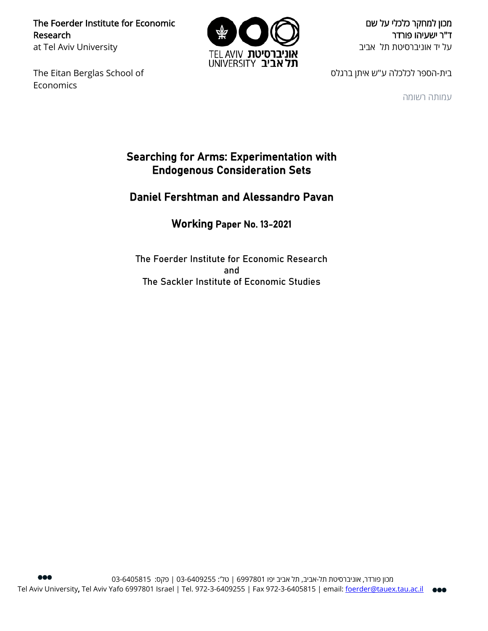The Foerder Institute for Economic Research at Tel Aviv University

The Eitan Berglas School of **Economics** 



מכון למחקר כלכלי על שם ד"ר ישעיהו פורדר על יד אוניברסיטת תל אביב

בית-הספר לכלכלה ע"ש איתן ברגלס

עמותה רשומה

# Searching for Arms: Experimentation with Endogenous Consideration Sets

# Daniel Fershtman and Alessandro Pavan

# Working Paper No. 13-2021

The Foerder Institute for Economic Research and The Sackler Institute of Economic Studies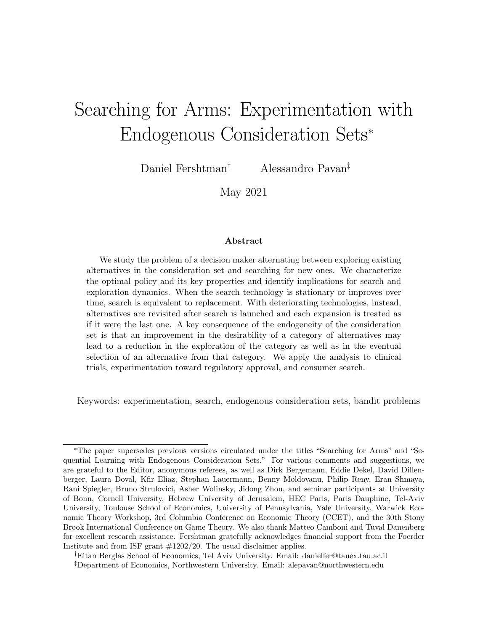# <span id="page-1-0"></span>Searching for Arms: Experimentation with Endogenous Consideration Sets<sup>∗</sup>

Daniel Fershtman† Alessandro Pavan‡

May 2021

#### Abstract

We study the problem of a decision maker alternating between exploring existing alternatives in the consideration set and searching for new ones. We characterize the optimal policy and its key properties and identify implications for search and exploration dynamics. When the search technology is stationary or improves over time, search is equivalent to replacement. With deteriorating technologies, instead, alternatives are revisited after search is launched and each expansion is treated as if it were the last one. A key consequence of the endogeneity of the consideration set is that an improvement in the desirability of a category of alternatives may lead to a reduction in the exploration of the category as well as in the eventual selection of an alternative from that category. We apply the analysis to clinical trials, experimentation toward regulatory approval, and consumer search.

Keywords: experimentation, search, endogenous consideration sets, bandit problems

†Eitan Berglas School of Economics, Tel Aviv University. Email: danielfer@tauex.tau.ac.il ‡Department of Economics, Northwestern University. Email: alepavan@northwestern.edu

<sup>∗</sup>The paper supersedes previous versions circulated under the titles "Searching for Arms" and "Sequential Learning with Endogenous Consideration Sets." For various comments and suggestions, we are grateful to the Editor, anonymous referees, as well as Dirk Bergemann, Eddie Dekel, David Dillenberger, Laura Doval, Kfir Eliaz, Stephan Lauermann, Benny Moldovanu, Philip Reny, Eran Shmaya, Rani Spiegler, Bruno Strulovici, Asher Wolinsky, Jidong Zhou, and seminar participants at University of Bonn, Cornell University, Hebrew University of Jerusalem, HEC Paris, Paris Dauphine, Tel-Aviv University, Toulouse School of Economics, University of Pennsylvania, Yale University, Warwick Economic Theory Workshop, 3rd Columbia Conference on Economic Theory (CCET), and the 30th Stony Brook International Conference on Game Theory. We also thank Matteo Camboni and Tuval Danenberg for excellent research assistance. Fershtman gratefully acknowledges financial support from the Foerder Institute and from ISF grant #1202/20. The usual disclaimer applies.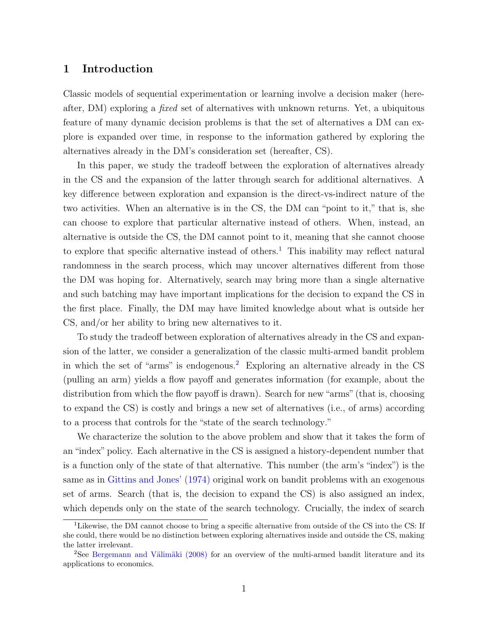# 1 Introduction

Classic models of sequential experimentation or learning involve a decision maker (hereafter, DM) exploring a fixed set of alternatives with unknown returns. Yet, a ubiquitous feature of many dynamic decision problems is that the set of alternatives a DM can explore is expanded over time, in response to the information gathered by exploring the alternatives already in the DM's consideration set (hereafter, CS).

In this paper, we study the tradeoff between the exploration of alternatives already in the CS and the expansion of the latter through search for additional alternatives. A key difference between exploration and expansion is the direct-vs-indirect nature of the two activities. When an alternative is in the CS, the DM can "point to it," that is, she can choose to explore that particular alternative instead of others. When, instead, an alternative is outside the CS, the DM cannot point to it, meaning that she cannot choose to explore that specific alternative instead of others.<sup>[1](#page-2-0)</sup> This inability may reflect natural randomness in the search process, which may uncover alternatives different from those the DM was hoping for. Alternatively, search may bring more than a single alternative and such batching may have important implications for the decision to expand the CS in the first place. Finally, the DM may have limited knowledge about what is outside her CS, and/or her ability to bring new alternatives to it.

To study the tradeoff between exploration of alternatives already in the CS and expansion of the latter, we consider a generalization of the classic multi-armed bandit problem in which the set of "arms" is endogenous.<sup>[2](#page-2-1)</sup> Exploring an alternative already in the CS (pulling an arm) yields a flow payoff and generates information (for example, about the distribution from which the flow payoff is drawn). Search for new "arms" (that is, choosing to expand the CS) is costly and brings a new set of alternatives (i.e., of arms) according to a process that controls for the "state of the search technology."

We characterize the solution to the above problem and show that it takes the form of an "index" policy. Each alternative in the CS is assigned a history-dependent number that is a function only of the state of that alternative. This number (the arm's "index") is the same as in [Gittins and Jones' \(1974\)](#page-33-0) original work on bandit problems with an exogenous set of arms. Search (that is, the decision to expand the CS) is also assigned an index, which depends only on the state of the search technology. Crucially, the index of search

<span id="page-2-0"></span><sup>&</sup>lt;sup>1</sup>Likewise, the DM cannot choose to bring a specific alternative from outside of the CS into the CS: If she could, there would be no distinction between exploring alternatives inside and outside the CS, making the latter irrelevant.

<span id="page-2-1"></span><sup>&</sup>lt;sup>2</sup>See Bergemann and Välimäki (2008) for an overview of the multi-armed bandit literature and its applications to economics.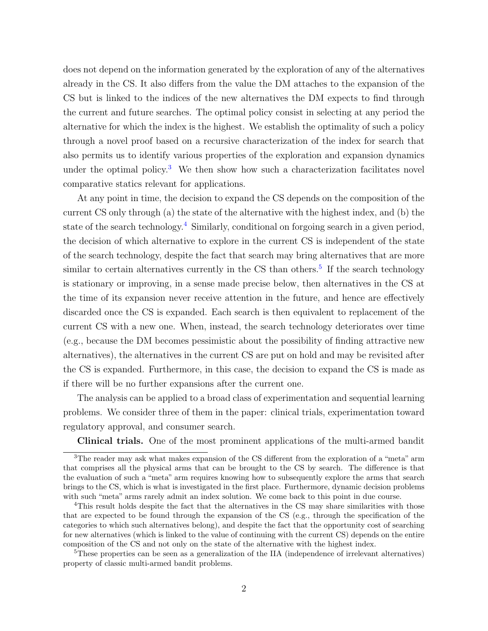does not depend on the information generated by the exploration of any of the alternatives already in the CS. It also differs from the value the DM attaches to the expansion of the CS but is linked to the indices of the new alternatives the DM expects to find through the current and future searches. The optimal policy consist in selecting at any period the alternative for which the index is the highest. We establish the optimality of such a policy through a novel proof based on a recursive characterization of the index for search that also permits us to identify various properties of the exploration and expansion dynamics under the optimal policy.<sup>[3](#page-3-0)</sup> We then show how such a characterization facilitates novel comparative statics relevant for applications.

At any point in time, the decision to expand the CS depends on the composition of the current CS only through (a) the state of the alternative with the highest index, and (b) the state of the search technology.<sup>[4](#page-3-1)</sup> Similarly, conditional on forgoing search in a given period, the decision of which alternative to explore in the current CS is independent of the state of the search technology, despite the fact that search may bring alternatives that are more similar to certain alternatives currently in the CS than others.<sup>[5](#page-3-2)</sup> If the search technology is stationary or improving, in a sense made precise below, then alternatives in the CS at the time of its expansion never receive attention in the future, and hence are effectively discarded once the CS is expanded. Each search is then equivalent to replacement of the current CS with a new one. When, instead, the search technology deteriorates over time (e.g., because the DM becomes pessimistic about the possibility of finding attractive new alternatives), the alternatives in the current CS are put on hold and may be revisited after the CS is expanded. Furthermore, in this case, the decision to expand the CS is made as if there will be no further expansions after the current one.

The analysis can be applied to a broad class of experimentation and sequential learning problems. We consider three of them in the paper: clinical trials, experimentation toward regulatory approval, and consumer search.

<span id="page-3-0"></span>Clinical trials. One of the most prominent applications of the multi-armed bandit

<sup>3</sup>The reader may ask what makes expansion of the CS different from the exploration of a "meta" arm that comprises all the physical arms that can be brought to the CS by search. The difference is that the evaluation of such a "meta" arm requires knowing how to subsequently explore the arms that search brings to the CS, which is what is investigated in the first place. Furthermore, dynamic decision problems with such "meta" arms rarely admit an index solution. We come back to this point in due course.

<span id="page-3-1"></span><sup>&</sup>lt;sup>4</sup>This result holds despite the fact that the alternatives in the CS may share similarities with those that are expected to be found through the expansion of the CS (e.g., through the specification of the categories to which such alternatives belong), and despite the fact that the opportunity cost of searching for new alternatives (which is linked to the value of continuing with the current CS) depends on the entire composition of the CS and not only on the state of the alternative with the highest index.

<span id="page-3-2"></span><sup>&</sup>lt;sup>5</sup>These properties can be seen as a generalization of the IIA (independence of irrelevant alternatives) property of classic multi-armed bandit problems.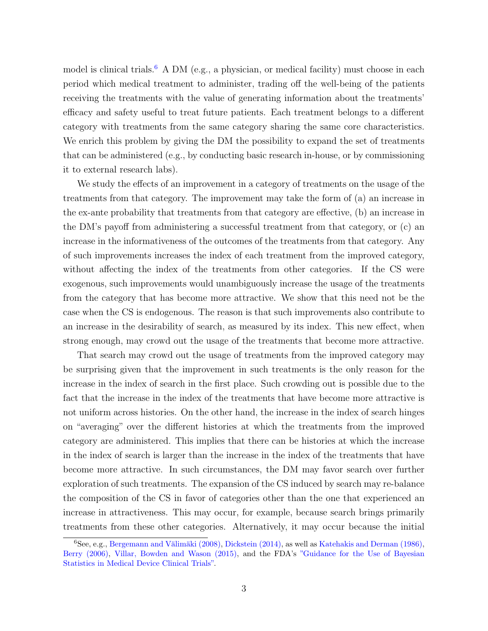model is clinical trials.<sup>[6](#page-4-0)</sup> A DM (e.g., a physician, or medical facility) must choose in each period which medical treatment to administer, trading off the well-being of the patients receiving the treatments with the value of generating information about the treatments' efficacy and safety useful to treat future patients. Each treatment belongs to a different category with treatments from the same category sharing the same core characteristics. We enrich this problem by giving the DM the possibility to expand the set of treatments that can be administered (e.g., by conducting basic research in-house, or by commissioning it to external research labs).

We study the effects of an improvement in a category of treatments on the usage of the treatments from that category. The improvement may take the form of (a) an increase in the ex-ante probability that treatments from that category are effective, (b) an increase in the DM's payoff from administering a successful treatment from that category, or (c) an increase in the informativeness of the outcomes of the treatments from that category. Any of such improvements increases the index of each treatment from the improved category, without affecting the index of the treatments from other categories. If the CS were exogenous, such improvements would unambiguously increase the usage of the treatments from the category that has become more attractive. We show that this need not be the case when the CS is endogenous. The reason is that such improvements also contribute to an increase in the desirability of search, as measured by its index. This new effect, when strong enough, may crowd out the usage of the treatments that become more attractive.

That search may crowd out the usage of treatments from the improved category may be surprising given that the improvement in such treatments is the only reason for the increase in the index of search in the first place. Such crowding out is possible due to the fact that the increase in the index of the treatments that have become more attractive is not uniform across histories. On the other hand, the increase in the index of search hinges on "averaging" over the different histories at which the treatments from the improved category are administered. This implies that there can be histories at which the increase in the index of search is larger than the increase in the index of the treatments that have become more attractive. In such circumstances, the DM may favor search over further exploration of such treatments. The expansion of the CS induced by search may re-balance the composition of the CS in favor of categories other than the one that experienced an increase in attractiveness. This may occur, for example, because search brings primarily treatments from these other categories. Alternatively, it may occur because the initial

<span id="page-4-0"></span> ${}^{6}$ See, e.g., Bergemann and Välimäki (2008), [Dickstein \(2014\),](#page-32-1) as well as [Katehakis and Derman \(1986\),](#page-33-1) [Berry \(2006\),](#page-32-2) [Villar, Bowden and Wason \(2015\),](#page-34-0) and the FDA's ["Guidance for the Use of Bayesian](https://www.fda.gov/regulatory-information/search-fda-guidance-documents/guidance-use-bayesian-statistics-medical-device-clinical-trials) [Statistics in Medical Device Clinical Trials".](https://www.fda.gov/regulatory-information/search-fda-guidance-documents/guidance-use-bayesian-statistics-medical-device-clinical-trials)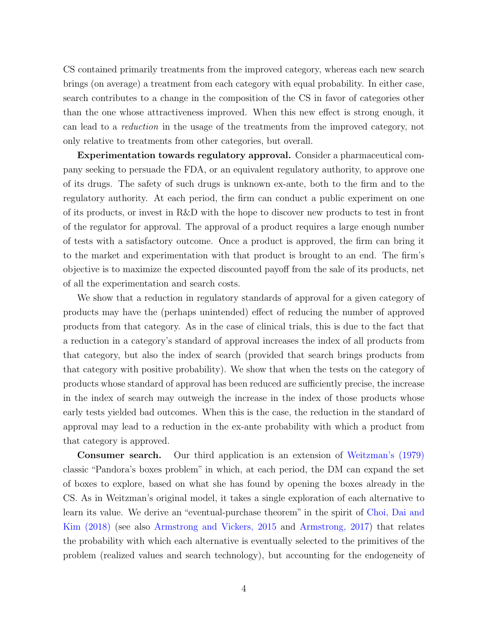CS contained primarily treatments from the improved category, whereas each new search brings (on average) a treatment from each category with equal probability. In either case, search contributes to a change in the composition of the CS in favor of categories other than the one whose attractiveness improved. When this new effect is strong enough, it can lead to a reduction in the usage of the treatments from the improved category, not only relative to treatments from other categories, but overall.

Experimentation towards regulatory approval. Consider a pharmaceutical company seeking to persuade the FDA, or an equivalent regulatory authority, to approve one of its drugs. The safety of such drugs is unknown ex-ante, both to the firm and to the regulatory authority. At each period, the firm can conduct a public experiment on one of its products, or invest in R&D with the hope to discover new products to test in front of the regulator for approval. The approval of a product requires a large enough number of tests with a satisfactory outcome. Once a product is approved, the firm can bring it to the market and experimentation with that product is brought to an end. The firm's objective is to maximize the expected discounted payoff from the sale of its products, net of all the experimentation and search costs.

We show that a reduction in regulatory standards of approval for a given category of products may have the (perhaps unintended) effect of reducing the number of approved products from that category. As in the case of clinical trials, this is due to the fact that a reduction in a category's standard of approval increases the index of all products from that category, but also the index of search (provided that search brings products from that category with positive probability). We show that when the tests on the category of products whose standard of approval has been reduced are sufficiently precise, the increase in the index of search may outweigh the increase in the index of those products whose early tests yielded bad outcomes. When this is the case, the reduction in the standard of approval may lead to a reduction in the ex-ante probability with which a product from that category is approved.

Consumer search. Our third application is an extension of [Weitzman's \(1979\)](#page-34-1) classic "Pandora's boxes problem" in which, at each period, the DM can expand the set of boxes to explore, based on what she has found by opening the boxes already in the CS. As in Weitzman's original model, it takes a single exploration of each alternative to learn its value. We derive an "eventual-purchase theorem" in the spirit of [Choi, Dai and](#page-32-3) [Kim \(2018\)](#page-32-3) (see also [Armstrong and Vickers, 2015](#page-32-4) and [Armstrong, 2017\)](#page-32-5) that relates the probability with which each alternative is eventually selected to the primitives of the problem (realized values and search technology), but accounting for the endogeneity of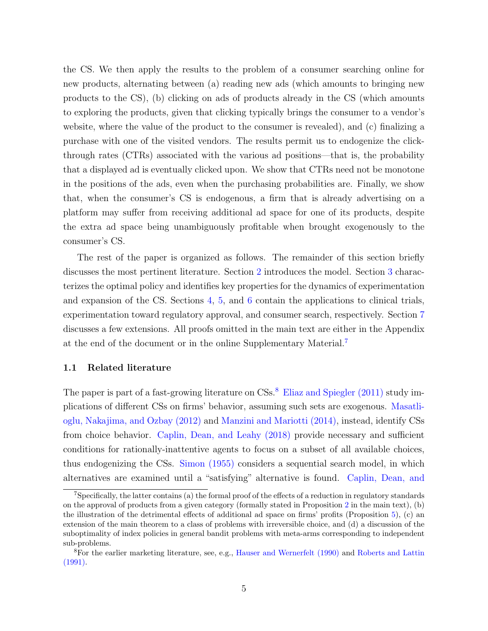the CS. We then apply the results to the problem of a consumer searching online for new products, alternating between (a) reading new ads (which amounts to bringing new products to the CS), (b) clicking on ads of products already in the CS (which amounts to exploring the products, given that clicking typically brings the consumer to a vendor's website, where the value of the product to the consumer is revealed), and (c) finalizing a purchase with one of the visited vendors. The results permit us to endogenize the clickthrough rates (CTRs) associated with the various ad positions—that is, the probability that a displayed ad is eventually clicked upon. We show that CTRs need not be monotone in the positions of the ads, even when the purchasing probabilities are. Finally, we show that, when the consumer's CS is endogenous, a firm that is already advertising on a platform may suffer from receiving additional ad space for one of its products, despite the extra ad space being unambiguously profitable when brought exogenously to the consumer's CS.

The rest of the paper is organized as follows. The remainder of this section briefly discusses the most pertinent literature. Section [2](#page-8-0) introduces the model. Section [3](#page-12-0) characterizes the optimal policy and identifies key properties for the dynamics of experimentation and expansion of the CS. Sections [4,](#page-17-0) [5,](#page-22-0) and [6](#page-25-0) contain the applications to clinical trials, experimentation toward regulatory approval, and consumer search, respectively. Section [7](#page-30-0) discusses a few extensions. All proofs omitted in the main text are either in the Appendix at the end of the document or in the online Supplementary Material.<sup>[7](#page-6-0)</sup>

#### 1.1 Related literature

The paper is part of a fast-growing literature on  $\text{CSs}^8$  $\text{CSs}^8$ . [Eliaz and Spiegler \(2011\)](#page-32-6) study implications of different CSs on firms' behavior, assuming such sets are exogenous. [Masatli](#page-33-2)[oglu, Nakajima, and Ozbay \(2012\)](#page-33-2) and [Manzini and Mariotti \(2014\),](#page-33-3) instead, identify CSs from choice behavior. [Caplin, Dean, and Leahy \(2018\)](#page-1-0) provide necessary and sufficient conditions for rationally-inattentive agents to focus on a subset of all available choices, thus endogenizing the CSs. [Simon \(1955\)](#page-34-2) considers a sequential search model, in which alternatives are examined until a "satisfying" alternative is found. [Caplin, Dean, and](#page-1-0)

<span id="page-6-0"></span><sup>7</sup>[Specifically, the latter contains \(a\) the formal proof of the effects of a reduction in regulatory standards](#page-1-0) [on the approval of products from a given category \(formally stated in Proposition](#page-1-0) [2](#page-24-0) in the main text), (b) [the illustration of the detrimental effects of additional ad space on firms' profits \(Proposition](#page-1-0) [5\)](#page-30-1), (c) an [extension of the main theorem to a class of problems with irreversible choice, and \(d\) a discussion of the](#page-1-0) [suboptimality of index policies in general bandit problems with meta-arms corresponding to independent](#page-1-0) [sub-problems.](#page-1-0)

<span id="page-6-1"></span><sup>8</sup>[For the earlier marketing literature, see, e.g.,](#page-1-0) [Hauser and Wernerfelt \(1990\)](#page-33-4) and [Roberts and Lattin](#page-33-5) [\(1991\).](#page-1-0)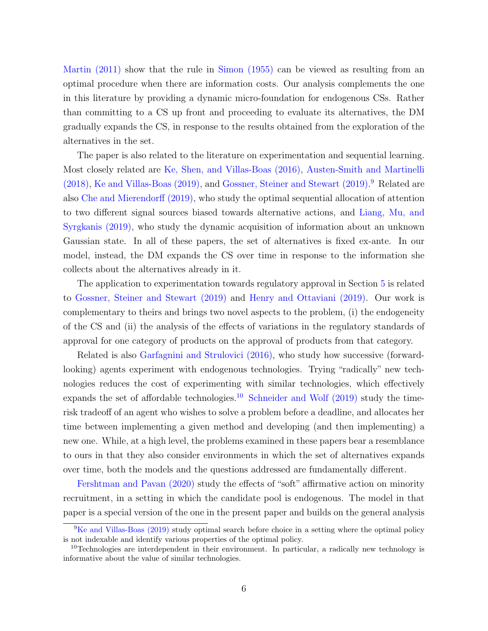[Martin \(2011\)](#page-1-0) show that the rule in [Simon \(1955\)](#page-34-2) can be viewed as resulting from an optimal procedure when there are information costs. Our analysis complements the one in this literature by providing a dynamic micro-foundation for endogenous CSs. Rather than committing to a CS up front and proceeding to evaluate its alternatives, the DM gradually expands the CS, in response to the results obtained from the exploration of the alternatives in the set.

The paper is also related to the literature on experimentation and sequential learning. Most closely related are [Ke, Shen, and Villas-Boas \(2016\),](#page-33-6) [Austen-Smith and Martinelli](#page-32-7) [\(2018\),](#page-32-7) [Ke and Villas-Boas \(2019\),](#page-33-7) and [Gossner, Steiner and Stewart \(2019\).](#page-33-8) [9](#page-7-0) Related are also [Che and Mierendorff \(2019\),](#page-32-8) who study the optimal sequential allocation of attention to two different signal sources biased towards alternative actions, and [Liang, Mu, and](#page-33-9) [Syrgkanis \(2019\),](#page-33-9) who study the dynamic acquisition of information about an unknown Gaussian state. In all of these papers, the set of alternatives is fixed ex-ante. In our model, instead, the DM expands the CS over time in response to the information she collects about the alternatives already in it.

The application to experimentation towards regulatory approval in Section [5](#page-22-0) is related to [Gossner, Steiner and Stewart \(2019\)](#page-33-8) and [Henry and Ottaviani \(2019\).](#page-33-10) Our work is complementary to theirs and brings two novel aspects to the problem, (i) the endogeneity of the CS and (ii) the analysis of the effects of variations in the regulatory standards of approval for one category of products on the approval of products from that category.

Related is also [Garfagnini and Strulovici \(2016\),](#page-32-9) who study how successive (forwardlooking) agents experiment with endogenous technologies. Trying "radically" new technologies reduces the cost of experimenting with similar technologies, which effectively expands the set of affordable technologies.<sup>[10](#page-7-1)</sup> Schneider and Wolf  $(2019)$  study the timerisk tradeoff of an agent who wishes to solve a problem before a deadline, and allocates her time between implementing a given method and developing (and then implementing) a new one. While, at a high level, the problems examined in these papers bear a resemblance to ours in that they also consider environments in which the set of alternatives expands over time, both the models and the questions addressed are fundamentally different.

[Fershtman and Pavan \(2020\)](#page-32-10) study the effects of "soft" affirmative action on minority recruitment, in a setting in which the candidate pool is endogenous. The model in that paper is a special version of the one in the present paper and builds on the general analysis

<span id="page-7-0"></span> ${}^{9}$ [Ke and Villas-Boas \(2019\)](#page-33-7) study optimal search before choice in a setting where the optimal policy is not indexable and identify various properties of the optimal policy.

<span id="page-7-1"></span><sup>&</sup>lt;sup>10</sup>Technologies are interdependent in their environment. In particular, a radically new technology is informative about the value of similar technologies.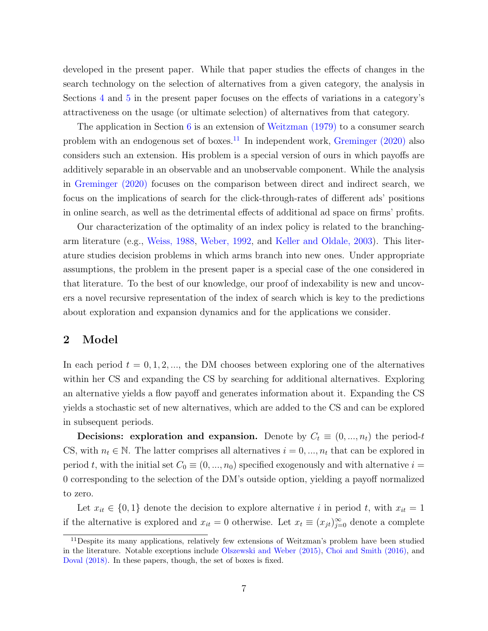developed in the present paper. While that paper studies the effects of changes in the search technology on the selection of alternatives from a given category, the analysis in Sections [4](#page-17-0) and [5](#page-22-0) in the present paper focuses on the effects of variations in a category's attractiveness on the usage (or ultimate selection) of alternatives from that category.

The application in Section [6](#page-25-0) is an extension of [Weitzman \(1979\)](#page-34-1) to a consumer search problem with an endogenous set of boxes.<sup>[11](#page-8-1)</sup> In independent work, Greminger  $(2020)$  also considers such an extension. His problem is a special version of ours in which payoffs are additively separable in an observable and an unobservable component. While the analysis in [Greminger \(2020\)](#page-33-11) focuses on the comparison between direct and indirect search, we focus on the implications of search for the click-through-rates of different ads' positions in online search, as well as the detrimental effects of additional ad space on firms' profits.

Our characterization of the optimality of an index policy is related to the branchingarm literature (e.g., [Weiss, 1988,](#page-34-4) [Weber, 1992,](#page-34-5) and [Keller and Oldale, 2003\)](#page-33-12). This literature studies decision problems in which arms branch into new ones. Under appropriate assumptions, the problem in the present paper is a special case of the one considered in that literature. To the best of our knowledge, our proof of indexability is new and uncovers a novel recursive representation of the index of search which is key to the predictions about exploration and expansion dynamics and for the applications we consider.

## <span id="page-8-0"></span>2 Model

In each period  $t = 0, 1, 2, \dots$ , the DM chooses between exploring one of the alternatives within her CS and expanding the CS by searching for additional alternatives. Exploring an alternative yields a flow payoff and generates information about it. Expanding the CS yields a stochastic set of new alternatives, which are added to the CS and can be explored in subsequent periods.

**Decisions: exploration and expansion.** Denote by  $C_t \equiv (0, ..., n_t)$  the period-t CS, with  $n_t \in \mathbb{N}$ . The latter comprises all alternatives  $i = 0, ..., n_t$  that can be explored in period t, with the initial set  $C_0 \equiv (0, ..., n_0)$  specified exogenously and with alternative  $i =$ 0 corresponding to the selection of the DM's outside option, yielding a payoff normalized to zero.

Let  $x_{it} \in \{0,1\}$  denote the decision to explore alternative i in period t, with  $x_{it} = 1$ if the alternative is explored and  $x_{it} = 0$  otherwise. Let  $x_t \equiv (x_{jt})_{j=0}^{\infty}$  denote a complete

<span id="page-8-1"></span><sup>&</sup>lt;sup>11</sup>Despite its many applications, relatively few extensions of Weitzman's problem have been studied in the literature. Notable exceptions include [Olszewski and Weber \(2015\),](#page-33-13) [Choi and Smith \(2016\),](#page-32-11) and [Doval \(2018\).](#page-32-12) In these papers, though, the set of boxes is fixed.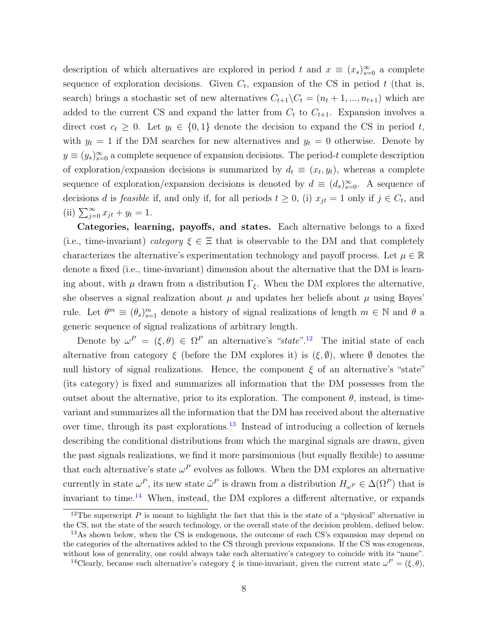description of which alternatives are explored in period t and  $x \equiv (x_s)_{s=0}^{\infty}$  a complete sequence of exploration decisions. Given  $C_t$ , expansion of the CS in period t (that is, search) brings a stochastic set of new alternatives  $C_{t+1}\setminus C_t = (n_t + 1, ..., n_{t+1})$  which are added to the current CS and expand the latter from  $C_t$  to  $C_{t+1}$ . Expansion involves a direct cost  $c_t \geq 0$ . Let  $y_t \in \{0,1\}$  denote the decision to expand the CS in period t, with  $y_t = 1$  if the DM searches for new alternatives and  $y_t = 0$  otherwise. Denote by  $y \equiv (y_s)_{s=0}^{\infty}$  a complete sequence of expansion decisions. The period-t complete description of exploration/expansion decisions is summarized by  $d_t \equiv (x_t, y_t)$ , whereas a complete sequence of exploration/expansion decisions is denoted by  $d \equiv (d_s)_{s=0}^{\infty}$ . A sequence of decisions d is feasible if, and only if, for all periods  $t \geq 0$ , (i)  $x_{jt} = 1$  only if  $j \in C_t$ , and (ii)  $\sum_{j=0}^{\infty} x_{jt} + y_t = 1$ .

Categories, learning, payoffs, and states. Each alternative belongs to a fixed (i.e., time-invariant) category  $\xi \in \Xi$  that is observable to the DM and that completely characterizes the alternative's experimentation technology and payoff process. Let  $\mu \in \mathbb{R}$ denote a fixed (i.e., time-invariant) dimension about the alternative that the DM is learning about, with  $\mu$  drawn from a distribution  $\Gamma_{\xi}$ . When the DM explores the alternative, she observes a signal realization about  $\mu$  and updates her beliefs about  $\mu$  using Bayes' rule. Let  $\theta^m \equiv (\theta_s)_{s=1}^m$  denote a history of signal realizations of length  $m \in \mathbb{N}$  and  $\theta$  a generic sequence of signal realizations of arbitrary length.

Denote by  $\omega^P = (\xi, \theta) \in \Omega^P$  an alternative's "state".<sup>[12](#page-9-0)</sup> The initial state of each alternative from category  $\xi$  (before the DM explores it) is  $(\xi, \emptyset)$ , where  $\emptyset$  denotes the null history of signal realizations. Hence, the component  $\xi$  of an alternative's "state" (its category) is fixed and summarizes all information that the DM possesses from the outset about the alternative, prior to its exploration. The component  $\theta$ , instead, is timevariant and summarizes all the information that the DM has received about the alternative over time, through its past explorations.<sup>[13](#page-9-1)</sup> Instead of introducing a collection of kernels describing the conditional distributions from which the marginal signals are drawn, given the past signals realizations, we find it more parsimonious (but equally flexible) to assume that each alternative's state  $\omega^P$  evolves as follows. When the DM explores an alternative currently in state  $\omega^P$ , its new state  $\tilde{\omega}^P$  is drawn from a distribution  $H_{\omega^P} \in \Delta(\Omega^P)$  that is invariant to time.[14](#page-9-2) When, instead, the DM explores a different alternative, or expands

<span id="page-9-0"></span><sup>&</sup>lt;sup>12</sup>The superscript P is meant to highlight the fact that this is the state of a "physical" alternative in the CS, not the state of the search technology, or the overall state of the decision problem, defined below.

<span id="page-9-1"></span><sup>&</sup>lt;sup>13</sup>As shown below, when the CS is endogenous, the outcome of each CS's expansion may depend on the categories of the alternatives added to the CS through previous expansions. If the CS was exogenous, without loss of generality, one could always take each alternative's category to coincide with its "name".

<span id="page-9-2"></span><sup>&</sup>lt;sup>14</sup>Clearly, because each alternative's category  $\xi$  is time-invariant, given the current state  $\omega^P = (\xi, \theta)$ ,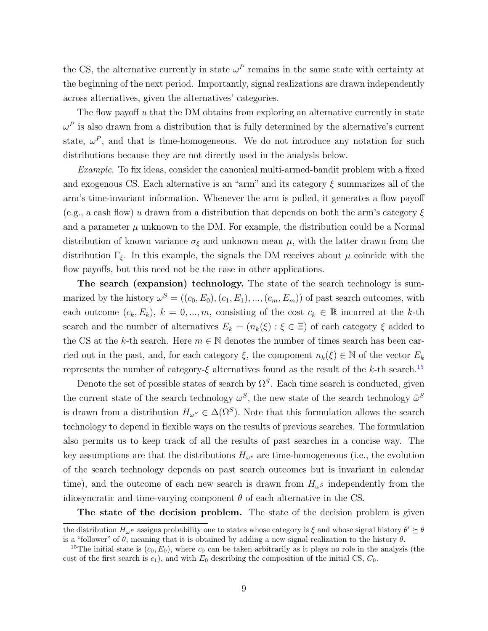the CS, the alternative currently in state  $\omega^P$  remains in the same state with certainty at the beginning of the next period. Importantly, signal realizations are drawn independently across alternatives, given the alternatives' categories.

The flow payoff  $u$  that the DM obtains from exploring an alternative currently in state  $\omega^P$  is also drawn from a distribution that is fully determined by the alternative's current state,  $\omega^P$ , and that is time-homogeneous. We do not introduce any notation for such distributions because they are not directly used in the analysis below.

Example. To fix ideas, consider the canonical multi-armed-bandit problem with a fixed and exogenous CS. Each alternative is an "arm" and its category  $\xi$  summarizes all of the arm's time-invariant information. Whenever the arm is pulled, it generates a flow payoff (e.g., a cash flow) u drawn from a distribution that depends on both the arm's category  $\xi$ and a parameter  $\mu$  unknown to the DM. For example, the distribution could be a Normal distribution of known variance  $\sigma_{\xi}$  and unknown mean  $\mu$ , with the latter drawn from the distribution  $\Gamma_{\xi}$ . In this example, the signals the DM receives about  $\mu$  coincide with the flow payoffs, but this need not be the case in other applications.

The search (expansion) technology. The state of the search technology is summarized by the history  $\omega^S = ((c_0, E_0), (c_1, E_1), ..., (c_m, E_m))$  of past search outcomes, with each outcome  $(c_k, E_k)$ ,  $k = 0, ..., m$ , consisting of the cost  $c_k \in \mathbb{R}$  incurred at the k-th search and the number of alternatives  $E_k = (n_k(\xi) : \xi \in \Xi)$  of each category  $\xi$  added to the CS at the k-th search. Here  $m \in \mathbb{N}$  denotes the number of times search has been carried out in the past, and, for each category  $\xi$ , the component  $n_k(\xi) \in \mathbb{N}$  of the vector  $E_k$ represents the number of category- $\xi$  alternatives found as the result of the k-th search.<sup>[15](#page-10-0)</sup>

Denote the set of possible states of search by  $\Omega^S$ . Each time search is conducted, given the current state of the search technology  $\omega^S$ , the new state of the search technology  $\tilde{\omega}^S$ is drawn from a distribution  $H_{\omega^S} \in \Delta(\Omega^S)$ . Note that this formulation allows the search technology to depend in flexible ways on the results of previous searches. The formulation also permits us to keep track of all the results of past searches in a concise way. The key assumptions are that the distributions  $H_{\omega^s}$  are time-homogeneous (i.e., the evolution of the search technology depends on past search outcomes but is invariant in calendar time), and the outcome of each new search is drawn from  $H_{\omega^S}$  independently from the idiosyncratic and time-varying component  $\theta$  of each alternative in the CS.

The state of the decision problem. The state of the decision problem is given

the distribution  $H_{\omega^P}$  assigns probability one to states whose category is  $\xi$  and whose signal history  $\theta' \succeq \theta$ is a "follower" of  $\theta$ , meaning that it is obtained by adding a new signal realization to the history  $\theta$ .

<span id="page-10-0"></span><sup>&</sup>lt;sup>15</sup>The initial state is  $(c_0, E_0)$ , where  $c_0$  can be taken arbitrarily as it plays no role in the analysis (the cost of the first search is  $c_1$ ), and with  $E_0$  describing the composition of the initial CS,  $C_0$ .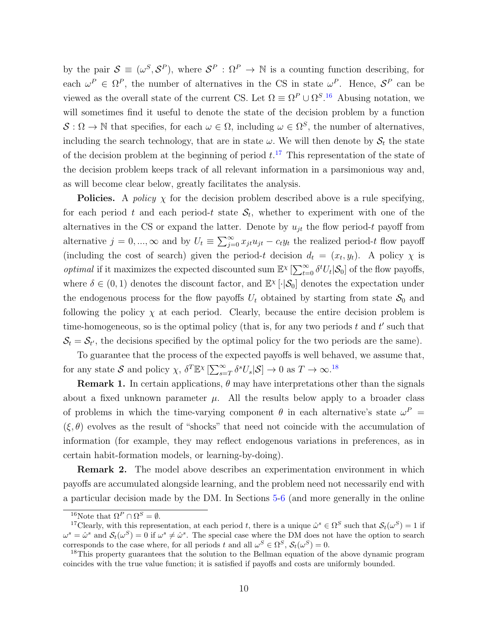by the pair  $\mathcal{S} \equiv (\omega^S, \mathcal{S}^P)$ , where  $\mathcal{S}^P : \Omega^P \to \mathbb{N}$  is a counting function describing, for each  $\omega^P \in \Omega^P$ , the number of alternatives in the CS in state  $\omega^P$ . Hence,  $\mathcal{S}^P$  can be viewed as the overall state of the current CS. Let  $\Omega = \Omega^P \cup \Omega^{S,16}$  $\Omega = \Omega^P \cup \Omega^{S,16}$  $\Omega = \Omega^P \cup \Omega^{S,16}$  Abusing notation, we will sometimes find it useful to denote the state of the decision problem by a function  $\mathcal{S}: \Omega \to \mathbb{N}$  that specifies, for each  $\omega \in \Omega$ , including  $\omega \in \Omega^S$ , the number of alternatives, including the search technology, that are in state  $\omega$ . We will then denote by  $S_t$  the state of the decision problem at the beginning of period  $t$ <sup>[17](#page-11-1)</sup>. This representation of the state of the decision problem keeps track of all relevant information in a parsimonious way and, as will become clear below, greatly facilitates the analysis.

**Policies.** A *policy*  $\chi$  for the decision problem described above is a rule specifying, for each period t and each period-t state  $S_t$ , whether to experiment with one of the alternatives in the CS or expand the latter. Denote by  $u_{jt}$  the flow period-t payoff from alternative  $j = 0, ..., \infty$  and by  $U_t \equiv \sum_{j=0}^{\infty} x_{jt} u_{jt} - c_t y_t$  the realized period-t flow payoff (including the cost of search) given the period-t decision  $d_t = (x_t, y_t)$ . A policy  $\chi$  is *optimal* if it maximizes the expected discounted sum  $\mathbb{E}^{\chi} \left[ \sum_{t=0}^{\infty} \delta^t U_t | \mathcal{S}_0 \right]$  of the flow payoffs, where  $\delta \in (0,1)$  denotes the discount factor, and  $\mathbb{E}^{\chi}[\cdot | \mathcal{S}_0]$  denotes the expectation under the endogenous process for the flow payoffs  $U_t$  obtained by starting from state  $S_0$  and following the policy  $\chi$  at each period. Clearly, because the entire decision problem is time-homogeneous, so is the optimal policy (that is, for any two periods  $t$  and  $t'$  such that  $S_t = S_{t'}$ , the decisions specified by the optimal policy for the two periods are the same).

To guarantee that the process of the expected payoffs is well behaved, we assume that, for any state S and policy  $\chi$ ,  $\delta^T \mathbb{E}^{\chi} [\sum_{s=T}^{\infty} \delta^s U_s | S] \to 0$  as  $T \to \infty$ .<sup>[18](#page-11-2)</sup>

**Remark 1.** In certain applications,  $\theta$  may have interpretations other than the signals about a fixed unknown parameter  $\mu$ . All the results below apply to a broader class of problems in which the time-varying component  $\theta$  in each alternative's state  $\omega^P$  =  $(\xi, \theta)$  evolves as the result of "shocks" that need not coincide with the accumulation of information (for example, they may reflect endogenous variations in preferences, as in certain habit-formation models, or learning-by-doing).

Remark 2. The model above describes an experimentation environment in which payoffs are accumulated alongside learning, and the problem need not necessarily end with a particular decision made by the DM. In Sections [5-](#page-22-0)[6](#page-25-0) (and more generally in the online

<span id="page-11-1"></span><span id="page-11-0"></span><sup>&</sup>lt;sup>16</sup>Note that  $\Omega^P \cap \Omega^S = \emptyset$ .

<sup>&</sup>lt;sup>17</sup>Clearly, with this representation, at each period t, there is a unique  $\hat{\omega}^s \in \Omega^S$  such that  $\mathcal{S}_t(\omega^S) = 1$  if  $\omega^s = \hat{\omega}^s$  and  $\mathcal{S}_t(\omega^S) = 0$  if  $\omega^s \neq \hat{\omega}^s$ . The special case where the DM does not have the option to search corresponds to the case where, for all periods t and all  $\omega^S \in \Omega^S$ ,  $\mathcal{S}_t(\omega^S) = 0$ .

<span id="page-11-2"></span><sup>&</sup>lt;sup>18</sup>This property guarantees that the solution to the Bellman equation of the above dynamic program coincides with the true value function; it is satisfied if payoffs and costs are uniformly bounded.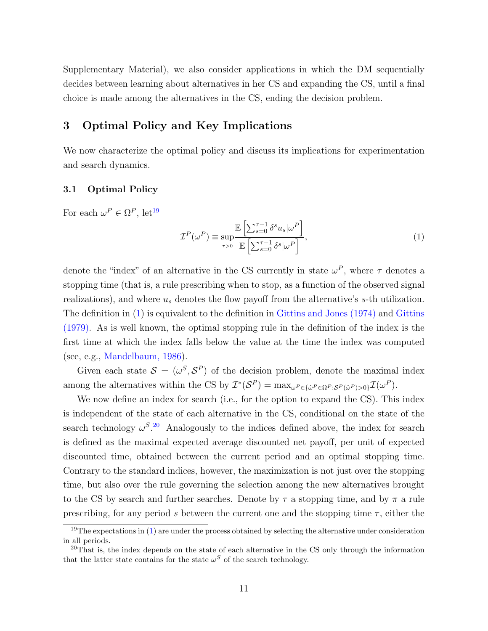Supplementary Material), we also consider applications in which the DM sequentially decides between learning about alternatives in her CS and expanding the CS, until a final choice is made among the alternatives in the CS, ending the decision problem.

# <span id="page-12-0"></span>3 Optimal Policy and Key Implications

We now characterize the optimal policy and discuss its implications for experimentation and search dynamics.

#### 3.1 Optimal Policy

For each  $\omega^P \in \Omega^P$ , let<sup>[19](#page-12-1)</sup>

<span id="page-12-2"></span>
$$
\mathcal{I}^{P}(\omega^{P}) \equiv \sup_{\tau>0} \frac{\mathbb{E}\left[\sum_{s=0}^{\tau-1} \delta^{s} u_{s} | \omega^{P}\right]}{\mathbb{E}\left[\sum_{s=0}^{\tau-1} \delta^{s} | \omega^{P}\right]},
$$
\n(1)

denote the "index" of an alternative in the CS currently in state  $\omega^P$ , where  $\tau$  denotes a stopping time (that is, a rule prescribing when to stop, as a function of the observed signal realizations), and where  $u_s$  denotes the flow payoff from the alternative's  $s$ -th utilization. The definition in [\(1\)](#page-12-2) is equivalent to the definition in [Gittins and Jones \(1974\)](#page-33-0) and [Gittins](#page-32-13) [\(1979\).](#page-32-13) As is well known, the optimal stopping rule in the definition of the index is the first time at which the index falls below the value at the time the index was computed (see, e.g., [Mandelbaum, 1986\)](#page-33-14).

Given each state  $S = (\omega^S, S^P)$  of the decision problem, denote the maximal index among the alternatives within the CS by  $\mathcal{I}^*(\mathcal{S}^P) = \max_{\omega^P \in {\{\hat{\omega}^P \in \Omega^P : \mathcal{S}^P(\hat{\omega}^P) > 0\}} } \mathcal{I}(\omega^P)$ .

We now define an index for search (i.e., for the option to expand the CS). This index is independent of the state of each alternative in the CS, conditional on the state of the search technology  $\omega^{S}$ .<sup>[20](#page-12-3)</sup> Analogously to the indices defined above, the index for search is defined as the maximal expected average discounted net payoff, per unit of expected discounted time, obtained between the current period and an optimal stopping time. Contrary to the standard indices, however, the maximization is not just over the stopping time, but also over the rule governing the selection among the new alternatives brought to the CS by search and further searches. Denote by  $\tau$  a stopping time, and by  $\pi$  a rule prescribing, for any period s between the current one and the stopping time  $\tau$ , either the

<span id="page-12-1"></span> $19$ The expectations in [\(1\)](#page-12-2) are under the process obtained by selecting the alternative under consideration in all periods.

<span id="page-12-3"></span> $20$ That is, the index depends on the state of each alternative in the CS only through the information that the latter state contains for the state  $\omega^S$  of the search technology.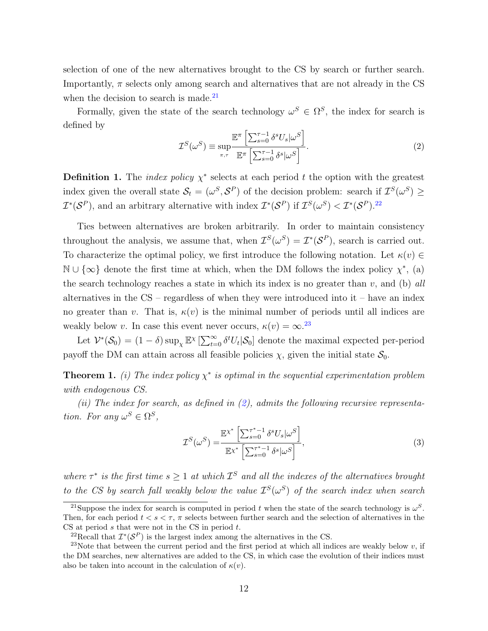selection of one of the new alternatives brought to the CS by search or further search. Importantly,  $\pi$  selects only among search and alternatives that are not already in the CS when the decision to search is made. $21$ 

Formally, given the state of the search technology  $\omega^S \in \Omega^S$ , the index for search is defined by

<span id="page-13-3"></span>
$$
\mathcal{I}^{S}(\omega^{S}) \equiv \sup_{\pi,\tau} \frac{\mathbb{E}^{\pi} \left[ \sum_{s=0}^{\tau-1} \delta^{s} U_{s} |\omega^{S} \right]}{\mathbb{E}^{\pi} \left[ \sum_{s=0}^{\tau-1} \delta^{s} |\omega^{S} \right]}.
$$
\n(2)

**Definition 1.** The *index policy*  $\chi^*$  selects at each period t the option with the greatest index given the overall state  $S_t = (\omega^S, S^P)$  of the decision problem: search if  $\mathcal{I}^S(\omega^S) \geq$  $\mathcal{I}^*(\mathcal{S}^P)$ , and an arbitrary alternative with index  $\mathcal{I}^*(\mathcal{S}^P)$  if  $\mathcal{I}^S(\omega^S) < \mathcal{I}^*(\mathcal{S}^P)$ .<sup>[22](#page-13-1)</sup>

Ties between alternatives are broken arbitrarily. In order to maintain consistency throughout the analysis, we assume that, when  $\mathcal{I}^S(\omega^S) = \mathcal{I}^*(\mathcal{S}^P)$ , search is carried out. To characterize the optimal policy, we first introduce the following notation. Let  $\kappa(v) \in$  $\mathbb{N} \cup \{\infty\}$  denote the first time at which, when the DM follows the index policy  $\chi^*$ , (a) the search technology reaches a state in which its index is no greater than  $v$ , and (b) all alternatives in the  $CS$  – regardless of when they were introduced into it – have an index no greater than v. That is,  $\kappa(v)$  is the minimal number of periods until all indices are weakly below v. In case this event never occurs,  $\kappa(v) = \infty^{23}$  $\kappa(v) = \infty^{23}$  $\kappa(v) = \infty^{23}$ 

Let  $\mathcal{V}^*(\mathcal{S}_0) = (1 - \delta) \sup_{\chi} \mathbb{E}^{\chi} \left[ \sum_{t=0}^{\infty} \delta^t U_t | \mathcal{S}_0 \right]$  denote the maximal expected per-period payoff the DM can attain across all feasible policies  $\chi$ , given the initial state  $\mathcal{S}_0$ .

<span id="page-13-4"></span>**Theorem 1.** (i) The index policy  $\chi^*$  is optimal in the sequential experimentation problem with endogenous CS.

(ii) The index for search, as defined in  $(2)$ , admits the following recursive representation. For any  $\omega^S \in \Omega^S$ ,

<span id="page-13-5"></span>
$$
\mathcal{I}^{S}(\omega^{S}) = \frac{\mathbb{E} \chi^{*} \left[ \sum_{s=0}^{\tau^{*}-1} \delta^{s} U_{s} |\omega^{S} \right]}{\mathbb{E} \chi^{*} \left[ \sum_{s=0}^{\tau^{*}-1} \delta^{s} |\omega^{S} \right]},
$$
\n(3)

where  $\tau^*$  is the first time  $s \geq 1$  at which  $\mathcal{I}^S$  and all the indexes of the alternatives brought to the CS by search fall weakly below the value  $\mathcal{I}^{S}(\omega^S)$  of the search index when search

<span id="page-13-0"></span><sup>&</sup>lt;sup>21</sup>Suppose the index for search is computed in period t when the state of the search technology is  $\omega^S$ . Then, for each period  $t < s < \tau$ ,  $\pi$  selects between further search and the selection of alternatives in the  $CS$  at period s that were not in the CS in period  $t$ .

<span id="page-13-2"></span><span id="page-13-1"></span><sup>&</sup>lt;sup>22</sup>Recall that  $\mathcal{I}^*(\mathcal{S}^P)$  is the largest index among the alternatives in the CS.

<sup>&</sup>lt;sup>23</sup>Note that between the current period and the first period at which all indices are weakly below v, if the DM searches, new alternatives are added to the CS, in which case the evolution of their indices must also be taken into account in the calculation of  $\kappa(v)$ .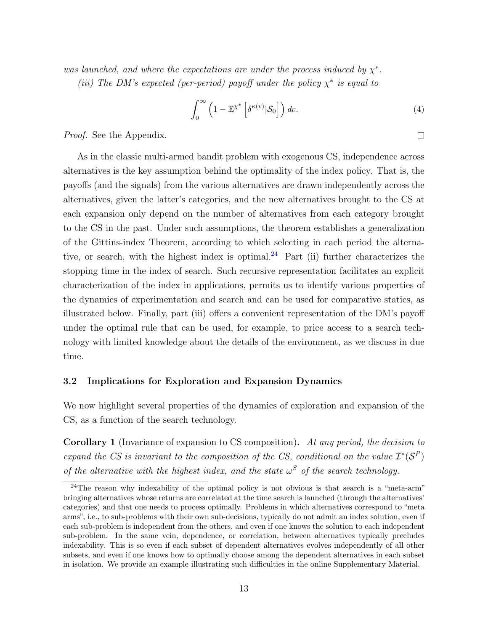was launched, and where the expectations are under the process induced by  $\chi^*$ . (iii) The DM's expected (per-period) payoff under the policy  $\chi^*$  is equal to

$$
\int_0^\infty \left(1 - \mathbb{E}^{\chi^*} \left[ \delta^{\kappa(v)} |S_0 \right] \right) dv.
$$
\n(4)

Proof. See the Appendix.

As in the classic multi-armed bandit problem with exogenous CS, independence across alternatives is the key assumption behind the optimality of the index policy. That is, the payoffs (and the signals) from the various alternatives are drawn independently across the alternatives, given the latter's categories, and the new alternatives brought to the CS at each expansion only depend on the number of alternatives from each category brought to the CS in the past. Under such assumptions, the theorem establishes a generalization of the Gittins-index Theorem, according to which selecting in each period the alterna-tive, or search, with the highest index is optimal.<sup>[24](#page-14-0)</sup> Part (ii) further characterizes the stopping time in the index of search. Such recursive representation facilitates an explicit characterization of the index in applications, permits us to identify various properties of the dynamics of experimentation and search and can be used for comparative statics, as illustrated below. Finally, part (iii) offers a convenient representation of the DM's payoff under the optimal rule that can be used, for example, to price access to a search technology with limited knowledge about the details of the environment, as we discuss in due time.

#### 3.2 Implications for Exploration and Expansion Dynamics

We now highlight several properties of the dynamics of exploration and expansion of the CS, as a function of the search technology.

Corollary 1 (Invariance of expansion to CS composition). At any period, the decision to expand the CS is invariant to the composition of the CS, conditional on the value  $\mathcal{I}^*(\mathcal{S}^P)$ of the alternative with the highest index, and the state  $\omega^S$  of the search technology.

<span id="page-14-1"></span> $\Box$ 

<span id="page-14-0"></span> $^{24}$ The reason why indexability of the optimal policy is not obvious is that search is a "meta-arm" bringing alternatives whose returns are correlated at the time search is launched (through the alternatives' categories) and that one needs to process optimally. Problems in which alternatives correspond to "meta arms", i.e., to sub-problems with their own sub-decisions, typically do not admit an index solution, even if each sub-problem is independent from the others, and even if one knows the solution to each independent sub-problem. In the same vein, dependence, or correlation, between alternatives typically precludes indexability. This is so even if each subset of dependent alternatives evolves independently of all other subsets, and even if one knows how to optimally choose among the dependent alternatives in each subset in isolation. We provide an example illustrating such difficulties in the online Supplementary Material.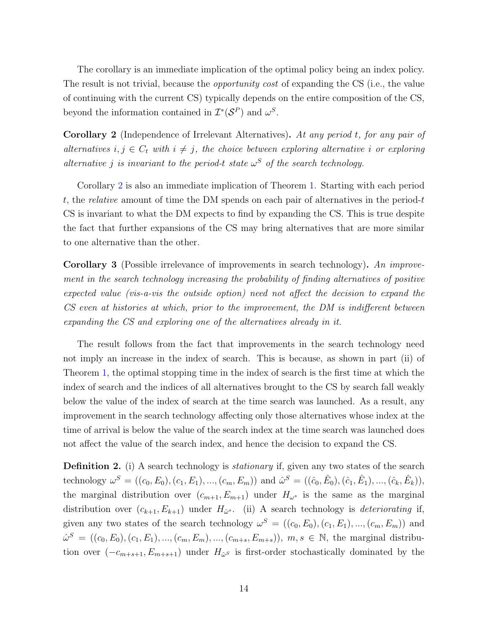The corollary is an immediate implication of the optimal policy being an index policy. The result is not trivial, because the *opportunity cost* of expanding the CS (i.e., the value of continuing with the current CS) typically depends on the entire composition of the CS, beyond the information contained in  $\mathcal{I}^*(\mathcal{S}^P)$  and  $\omega^S$ .

<span id="page-15-0"></span>Corollary 2 (Independence of Irrelevant Alternatives). At any period t, for any pair of alternatives  $i, j \in C_t$  with  $i \neq j$ , the choice between exploring alternative i or exploring alternative j is invariant to the period-t state  $\omega^S$  of the search technology.

Corollary [2](#page-15-0) is also an immediate implication of Theorem [1.](#page-13-4) Starting with each period t, the relative amount of time the DM spends on each pair of alternatives in the period-t CS is invariant to what the DM expects to find by expanding the CS. This is true despite the fact that further expansions of the CS may bring alternatives that are more similar to one alternative than the other.

**Corollary 3** (Possible irrelevance of improvements in search technology). An improvement in the search technology increasing the probability of finding alternatives of positive expected value (vis-a-vis the outside option) need not affect the decision to expand the CS even at histories at which, prior to the improvement, the DM is indifferent between expanding the CS and exploring one of the alternatives already in it.

The result follows from the fact that improvements in the search technology need not imply an increase in the index of search. This is because, as shown in part (ii) of Theorem [1,](#page-13-4) the optimal stopping time in the index of search is the first time at which the index of search and the indices of all alternatives brought to the CS by search fall weakly below the value of the index of search at the time search was launched. As a result, any improvement in the search technology affecting only those alternatives whose index at the time of arrival is below the value of the search index at the time search was launched does not affect the value of the search index, and hence the decision to expand the CS.

**Definition 2.** (i) A search technology is *stationary* if, given any two states of the search technology  $\omega^S = ((c_0, E_0), (c_1, E_1), ..., (c_m, E_m))$  and  $\hat{\omega}^S = ((\hat{c}_0, \hat{E}_0), (\hat{c}_1, \hat{E}_1), ..., (\hat{c}_k, \hat{E}_k)),$ the marginal distribution over  $(c_{m+1}, E_{m+1})$  under  $H_{\omega^s}$  is the same as the marginal distribution over  $(c_{k+1}, E_{k+1})$  under  $H_{\hat{\omega}^s}$ . (ii) A search technology is *deteriorating* if, given any two states of the search technology  $\omega^S = ((c_0, E_0), (c_1, E_1), ..., (c_m, E_m))$  and  $\hat{\omega}^{S} = ((c_0, E_0), (c_1, E_1), ..., (c_m, E_m), ..., (c_{m+s}, E_{m+s}))$ ,  $m, s \in \mathbb{N}$ , the marginal distribution over  $(-c_{m+s+1}, E_{m+s+1})$  under  $H_{\hat{\omega}^S}$  is first-order stochastically dominated by the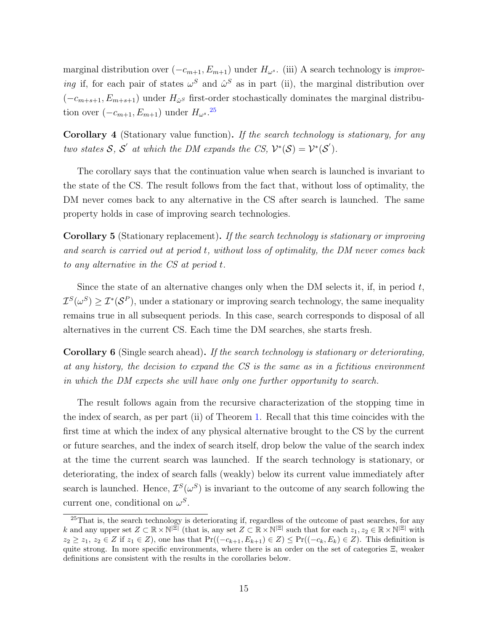marginal distribution over  $(-c_{m+1}, E_{m+1})$  under  $H_{\omega^s}$ . (iii) A search technology is *improv*ing if, for each pair of states  $\omega^S$  and  $\hat{\omega}^S$  as in part (ii), the marginal distribution over  $(-c_{m+s+1}, E_{m+s+1})$  under  $H_{\hat{\omega}}s$  first-order stochastically dominates the marginal distribution over  $(-c_{m+1}, E_{m+1})$  under  $H_{\omega^s}$ .<sup>[25](#page-16-0)</sup>

Corollary 4 (Stationary value function). If the search technology is stationary, for any two states S, S' at which the DM expands the CS,  $\mathcal{V}^*(\mathcal{S}) = \mathcal{V}^*(\mathcal{S}')$ .

The corollary says that the continuation value when search is launched is invariant to the state of the CS. The result follows from the fact that, without loss of optimality, the DM never comes back to any alternative in the CS after search is launched. The same property holds in case of improving search technologies.

<span id="page-16-2"></span>Corollary 5 (Stationary replacement). If the search technology is stationary or improving and search is carried out at period t, without loss of optimality, the DM never comes back to any alternative in the CS at period t.

Since the state of an alternative changes only when the DM selects it, if, in period  $t$ ,  $\mathcal{I}^{S}(\omega^{S}) \geq \mathcal{I}^{*}(\mathcal{S}^{P}),$  under a stationary or improving search technology, the same inequality remains true in all subsequent periods. In this case, search corresponds to disposal of all alternatives in the current CS. Each time the DM searches, she starts fresh.

<span id="page-16-1"></span>Corollary 6 (Single search ahead). If the search technology is stationary or deteriorating, at any history, the decision to expand the CS is the same as in a fictitious environment in which the DM expects she will have only one further opportunity to search.

The result follows again from the recursive characterization of the stopping time in the index of search, as per part (ii) of Theorem [1.](#page-13-4) Recall that this time coincides with the first time at which the index of any physical alternative brought to the CS by the current or future searches, and the index of search itself, drop below the value of the search index at the time the current search was launched. If the search technology is stationary, or deteriorating, the index of search falls (weakly) below its current value immediately after search is launched. Hence,  $\mathcal{I}^{S}(\omega^{S})$  is invariant to the outcome of any search following the current one, conditional on  $\omega^S$ .

<span id="page-16-0"></span><sup>&</sup>lt;sup>25</sup>That is, the search technology is deteriorating if, regardless of the outcome of past searches, for any k and any upper set  $Z \subset \mathbb{R} \times \mathbb{N}^{|\Xi|}$  (that is, any set  $Z \subset \mathbb{R} \times \mathbb{N}^{|\Xi|}$  such that for each  $z_1, z_2 \in \mathbb{R} \times \mathbb{N}^{|\Xi|}$  with  $z_2 \geq z_1, z_2 \in Z$  if  $z_1 \in Z$ ), one has that  $Pr((-c_{k+1}, E_{k+1}) \in Z) \leq Pr((-c_k, E_k) \in Z)$ . This definition is quite strong. In more specific environments, where there is an order on the set of categories  $\Xi$ , weaker definitions are consistent with the results in the corollaries below.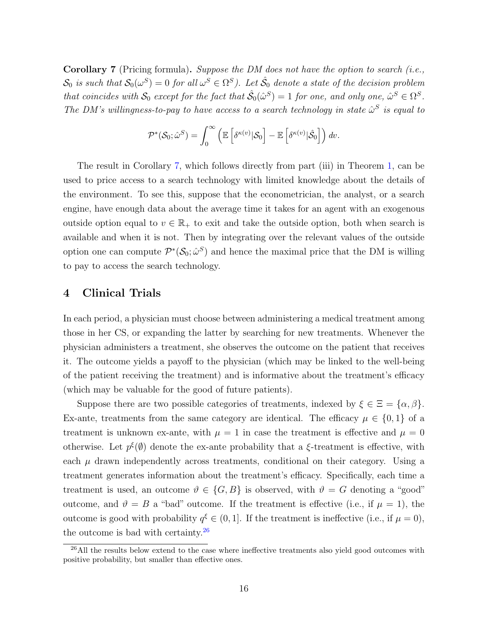<span id="page-17-1"></span>Corollary 7 (Pricing formula). Suppose the DM does not have the option to search (i.e.,  $\mathcal{S}_0$  is such that  $\mathcal{S}_0(\omega^S)=0$  for all  $\omega^S\in\Omega^S$ ). Let  $\hat{\mathcal{S}}_0$  denote a state of the decision problem that coincides with  $S_0$  except for the fact that  $\hat{\mathcal{S}}_0(\hat{\omega}^S) = 1$  for one, and only one,  $\hat{\omega}^S \in \Omega^S$ . The DM's willingness-to-pay to have access to a search technology in state  $\hat{\omega}^S$  is equal to

$$
\mathcal{P}^*(\mathcal{S}_0;\hat{\omega}^S) = \int_0^\infty \left( \mathbb{E}\left[ \delta^{\kappa(v)} |\mathcal{S}_0 \right] - \mathbb{E}\left[ \delta^{\kappa(v)} |\hat{\mathcal{S}}_0 \right] \right) dv.
$$

The result in Corollary [7,](#page-17-1) which follows directly from part (iii) in Theorem [1,](#page-13-4) can be used to price access to a search technology with limited knowledge about the details of the environment. To see this, suppose that the econometrician, the analyst, or a search engine, have enough data about the average time it takes for an agent with an exogenous outside option equal to  $v \in \mathbb{R}_+$  to exit and take the outside option, both when search is available and when it is not. Then by integrating over the relevant values of the outside option one can compute  $\mathcal{P}^*(\mathcal{S}_0; \hat{\omega}^S)$  and hence the maximal price that the DM is willing to pay to access the search technology.

# <span id="page-17-0"></span>4 Clinical Trials

In each period, a physician must choose between administering a medical treatment among those in her CS, or expanding the latter by searching for new treatments. Whenever the physician administers a treatment, she observes the outcome on the patient that receives it. The outcome yields a payoff to the physician (which may be linked to the well-being of the patient receiving the treatment) and is informative about the treatment's efficacy (which may be valuable for the good of future patients).

Suppose there are two possible categories of treatments, indexed by  $\xi \in \Xi = {\alpha, \beta}.$ Ex-ante, treatments from the same category are identical. The efficacy  $\mu \in \{0,1\}$  of a treatment is unknown ex-ante, with  $\mu = 1$  in case the treatment is effective and  $\mu = 0$ otherwise. Let  $p^{\xi}(\emptyset)$  denote the ex-ante probability that a  $\xi$ -treatment is effective, with each  $\mu$  drawn independently across treatments, conditional on their category. Using a treatment generates information about the treatment's efficacy. Specifically, each time a treatment is used, an outcome  $\vartheta \in \{G, B\}$  is observed, with  $\vartheta = G$  denoting a "good" outcome, and  $\vartheta = B$  a "bad" outcome. If the treatment is effective (i.e., if  $\mu = 1$ ), the outcome is good with probability  $q^{\xi} \in (0, 1]$ . If the treatment is ineffective (i.e., if  $\mu = 0$ ), the outcome is bad with certainty. $^{26}$  $^{26}$  $^{26}$ 

<span id="page-17-2"></span><sup>&</sup>lt;sup>26</sup>All the results below extend to the case where ineffective treatments also yield good outcomes with positive probability, but smaller than effective ones.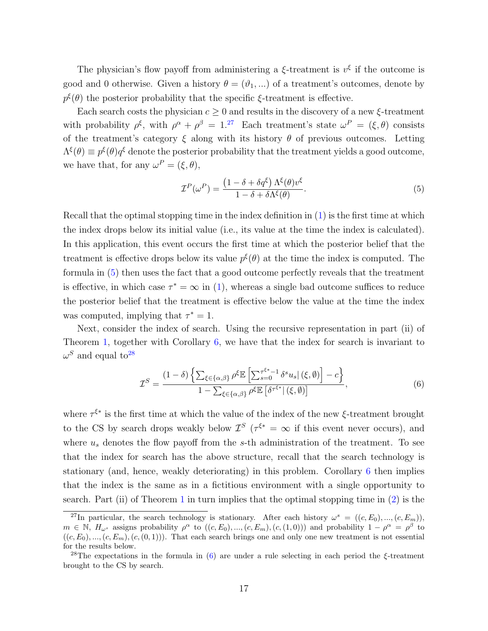The physician's flow payoff from administering a  $\xi$ -treatment is  $v^{\xi}$  if the outcome is good and 0 otherwise. Given a history  $\theta = (\vartheta_1, \ldots)$  of a treatment's outcomes, denote by  $p^{\xi}(\theta)$  the posterior probability that the specific  $\xi$ -treatment is effective.

Each search costs the physician  $c \geq 0$  and results in the discovery of a new  $\xi$ -treatment with probability  $\rho^{\xi}$ , with  $\rho^{\alpha} + \rho^{\beta} = 1^{27}$  $\rho^{\alpha} + \rho^{\beta} = 1^{27}$  $\rho^{\alpha} + \rho^{\beta} = 1^{27}$  Each treatment's state  $\omega^P = (\xi, \theta)$  consists of the treatment's category  $\xi$  along with its history  $\theta$  of previous outcomes. Letting  $\Lambda^{\xi}(\theta) \equiv p^{\xi}(\theta)q^{\xi}$  denote the posterior probability that the treatment yields a good outcome, we have that, for any  $\omega^P = (\xi, \theta)$ ,

<span id="page-18-1"></span>
$$
\mathcal{I}^{P}(\omega^{P}) = \frac{(1 - \delta + \delta q^{\xi}) \Lambda^{\xi}(\theta) v^{\xi}}{1 - \delta + \delta \Lambda^{\xi}(\theta)}.
$$
\n(5)

Recall that the optimal stopping time in the index definition in [\(1\)](#page-12-2) is the first time at which the index drops below its initial value (i.e., its value at the time the index is calculated). In this application, this event occurs the first time at which the posterior belief that the treatment is effective drops below its value  $p^{\xi}(\theta)$  at the time the index is computed. The formula in [\(5\)](#page-18-1) then uses the fact that a good outcome perfectly reveals that the treatment is effective, in which case  $\tau^* = \infty$  in [\(1\)](#page-12-2), whereas a single bad outcome suffices to reduce the posterior belief that the treatment is effective below the value at the time the index was computed, implying that  $\tau^* = 1$ .

Next, consider the index of search. Using the recursive representation in part (ii) of Theorem [1,](#page-13-4) together with Corollary [6,](#page-16-1) we have that the index for search is invariant to  $\omega^S$  and equal to<sup>[28](#page-18-2)</sup>

<span id="page-18-3"></span>
$$
\mathcal{I}^{S} = \frac{(1-\delta)\left\{\sum_{\xi \in \{\alpha,\beta\}}\rho^{\xi} \mathbb{E}\left[\sum_{s=0}^{\tau^{\xi*}-1} \delta^{s} u_{s} \mid (\xi,\emptyset)\right] - c\right\}}{1 - \sum_{\xi \in \{\alpha,\beta\}}\rho^{\xi} \mathbb{E}\left[\delta^{\tau^{\xi*}} \mid (\xi,\emptyset)\right]},
$$
(6)

where  $\tau^{\xi^*}$  is the first time at which the value of the index of the new  $\xi$ -treatment brought to the CS by search drops weakly below  $\mathcal{I}^S$  ( $\tau^{\xi^*} = \infty$  if this event never occurs), and where  $u_s$  denotes the flow payoff from the s-th administration of the treatment. To see that the index for search has the above structure, recall that the search technology is stationary (and, hence, weakly deteriorating) in this problem. Corollary [6](#page-16-1) then implies that the index is the same as in a fictitious environment with a single opportunity to search. Part (ii) of Theorem [1](#page-13-4) in turn implies that the optimal stopping time in  $(2)$  is the

<span id="page-18-0"></span><sup>&</sup>lt;sup>27</sup>In particular, the search technology is stationary. After each history  $\omega^s = ((c, E_0), ..., (c, E_m))$ ,  $m \in \mathbb{N}, H_{\omega^s}$  assigns probability  $\rho^{\alpha}$  to  $((c, E_0), ..., (c, E_m), (c, (1, 0)))$  and probability  $1 - \rho^{\alpha} = \rho^{\beta}$  to  $((c, E_0), ..., (c, E_m), (c, (0, 1)))$ . That each search brings one and only one new treatment is not essential for the results below.

<span id="page-18-2"></span><sup>&</sup>lt;sup>28</sup>The expectations in the formula in [\(6\)](#page-18-3) are under a rule selecting in each period the  $\xi$ -treatment brought to the CS by search.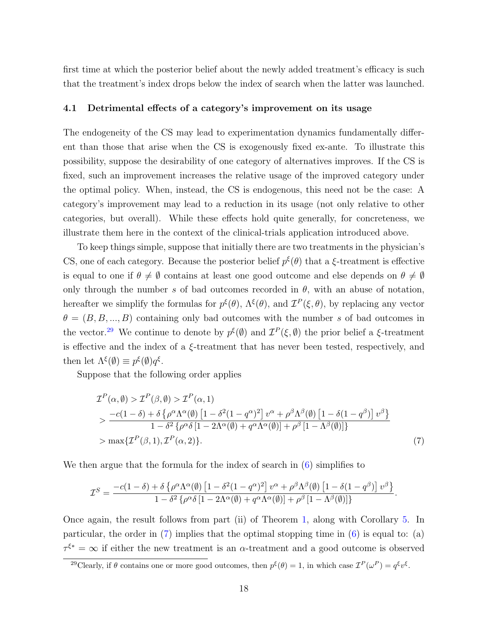first time at which the posterior belief about the newly added treatment's efficacy is such that the treatment's index drops below the index of search when the latter was launched.

#### 4.1 Detrimental effects of a category's improvement on its usage

The endogeneity of the CS may lead to experimentation dynamics fundamentally different than those that arise when the CS is exogenously fixed ex-ante. To illustrate this possibility, suppose the desirability of one category of alternatives improves. If the CS is fixed, such an improvement increases the relative usage of the improved category under the optimal policy. When, instead, the CS is endogenous, this need not be the case: A category's improvement may lead to a reduction in its usage (not only relative to other categories, but overall). While these effects hold quite generally, for concreteness, we illustrate them here in the context of the clinical-trials application introduced above.

To keep things simple, suppose that initially there are two treatments in the physician's CS, one of each category. Because the posterior belief  $p^{\xi}(\theta)$  that a  $\xi$ -treatment is effective is equal to one if  $\theta \neq \emptyset$  contains at least one good outcome and else depends on  $\theta \neq \emptyset$ only through the number s of bad outcomes recorded in  $\theta$ , with an abuse of notation, hereafter we simplify the formulas for  $p^{\xi}(\theta)$ ,  $\Lambda^{\xi}(\theta)$ , and  $\mathcal{I}^{P}(\xi,\theta)$ , by replacing any vector  $\theta = (B, B, ..., B)$  containing only bad outcomes with the number s of bad outcomes in the vector.<sup>[29](#page-19-0)</sup> We continue to denote by  $p^{\xi}(\emptyset)$  and  $\mathcal{I}^P(\xi,\emptyset)$  the prior belief a  $\xi$ -treatment is effective and the index of a  $\xi$ -treatment that has never been tested, respectively, and then let  $\Lambda^{\xi}(\emptyset) \equiv p^{\xi}(\emptyset)q^{\xi}$ .

Suppose that the following order applies

<span id="page-19-1"></span>
$$
\mathcal{I}^{P}(\alpha,\emptyset) > \mathcal{I}^{P}(\beta,\emptyset) > \mathcal{I}^{P}(\alpha,1)
$$
\n
$$
> \frac{-c(1-\delta) + \delta \left\{ \rho^{\alpha} \Lambda^{\alpha}(\emptyset) \left[ 1 - \delta^{2} (1 - q^{\alpha})^{2} \right] v^{\alpha} + \rho^{\beta} \Lambda^{\beta}(\emptyset) \left[ 1 - \delta (1 - q^{\beta}) \right] v^{\beta} \right\}}{1 - \delta^{2} \left\{ \rho^{\alpha} \delta \left[ 1 - 2\Lambda^{\alpha}(\emptyset) + q^{\alpha} \Lambda^{\alpha}(\emptyset) \right] + \rho^{\beta} \left[ 1 - \Lambda^{\beta}(\emptyset) \right] \right\}}
$$
\n
$$
> \max \{ \mathcal{I}^{P}(\beta,1), \mathcal{I}^{P}(\alpha,2) \}. \tag{7}
$$

We then argue that the formula for the index of search in  $(6)$  simplifies to

$$
\mathcal{I}^S=\frac{-c(1-\delta)+\delta\left\{\rho^{\alpha}\Lambda^{\alpha}(\emptyset)\left[1-\delta^2(1-q^{\alpha})^2\right]v^{\alpha}+\rho^{\beta}\Lambda^{\beta}(\emptyset)\left[1-\delta(1-q^{\beta})\right]v^{\beta}\right\}}{1-\delta^2\left\{\rho^{\alpha}\delta\left[1-2\Lambda^{\alpha}(\emptyset)+q^{\alpha}\Lambda^{\alpha}(\emptyset)\right]+\rho^{\beta}\left[1-\Lambda^{\beta}(\emptyset)\right]\right\}}.
$$

Once again, the result follows from part (ii) of Theorem [1,](#page-13-4) along with Corollary [5.](#page-16-2) In particular, the order in  $(7)$  implies that the optimal stopping time in  $(6)$  is equal to:  $(a)$  $\tau^{\xi^*} = \infty$  if either the new treatment is an  $\alpha$ -treatment and a good outcome is observed

<span id="page-19-0"></span><sup>&</sup>lt;sup>29</sup>Clearly, if  $\theta$  contains one or more good outcomes, then  $p^{\xi}(\theta) = 1$ , in which case  $\mathcal{I}^{P}(\omega^{P}) = q^{\xi}v^{\xi}$ .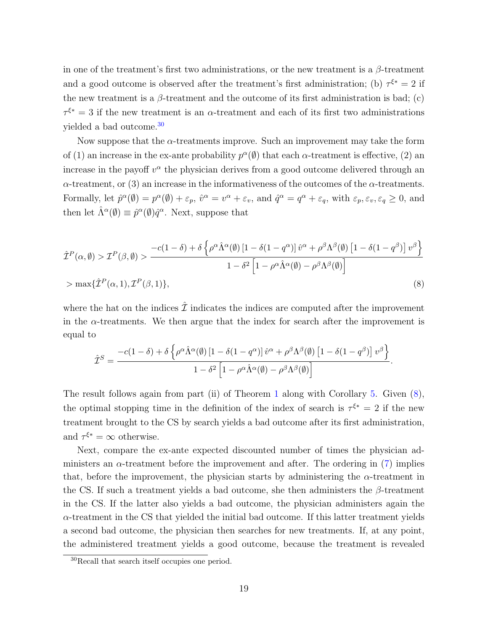in one of the treatment's first two administrations, or the new treatment is a  $\beta$ -treatment and a good outcome is observed after the treatment's first administration; (b)  $\tau^{\xi^*} = 2$  if the new treatment is a  $\beta$ -treatment and the outcome of its first administration is bad; (c)  $\tau^{\xi^*} = 3$  if the new treatment is an  $\alpha$ -treatment and each of its first two administrations yielded a bad outcome.[30](#page-20-0)

Now suppose that the  $\alpha$ -treatments improve. Such an improvement may take the form of (1) an increase in the ex-ante probability  $p^{\alpha}(\emptyset)$  that each  $\alpha$ -treatment is effective, (2) an increase in the payoff  $v^{\alpha}$  the physician derives from a good outcome delivered through an  $\alpha$ -treatment, or (3) an increase in the informativeness of the outcomes of the  $\alpha$ -treatments. Formally, let  $\hat{p}^{\alpha}(\emptyset) = p^{\alpha}(\emptyset) + \varepsilon_p$ ,  $\hat{v}^{\alpha} = v^{\alpha} + \varepsilon_v$ , and  $\hat{q}^{\alpha} = q^{\alpha} + \varepsilon_q$ , with  $\varepsilon_p, \varepsilon_v, \varepsilon_q \geq 0$ , and then let  $\hat{\Lambda}^{\alpha}(\emptyset) \equiv \hat{p}^{\alpha}(\emptyset) \hat{q}^{\alpha}$ . Next, suppose that

$$
\hat{\mathcal{I}}^{P}(\alpha,\emptyset) > \mathcal{I}^{P}(\beta,\emptyset) > \frac{-c(1-\delta) + \delta \left\{ \rho^{\alpha} \hat{\Lambda}^{\alpha}(\emptyset) \left[1 - \delta(1 - q^{\alpha})\right] \hat{v}^{\alpha} + \rho^{\beta} \Lambda^{\beta}(\emptyset) \left[1 - \delta(1 - q^{\beta})\right] v^{\beta} \right\}}{1 - \delta^{2} \left[1 - \rho^{\alpha} \hat{\Lambda}^{\alpha}(\emptyset) - \rho^{\beta} \Lambda^{\beta}(\emptyset)\right]}
$$
\n
$$
> \max \{\hat{\mathcal{I}}^{P}(\alpha,1), \mathcal{I}^{P}(\beta,1)\},\tag{8}
$$

where the hat on the indices  $\hat{\mathcal{I}}$  indicates the indices are computed after the improvement in the  $\alpha$ -treatments. We then argue that the index for search after the improvement is equal to

<span id="page-20-1"></span>
$$
\hat{\mathcal{I}}^S = \frac{-c(1-\delta) + \delta \left\{ \rho^{\alpha} \hat{\Lambda}^{\alpha}(\emptyset) \left[1 - \delta(1-q^{\alpha})\right] \hat{v}^{\alpha} + \rho^{\beta} \Lambda^{\beta}(\emptyset) \left[1 - \delta(1-q^{\beta})\right] v^{\beta} \right\}}{1 - \delta^2 \left[1 - \rho^{\alpha} \hat{\Lambda}^{\alpha}(\emptyset) - \rho^{\beta} \Lambda^{\beta}(\emptyset)\right]}.
$$

The result follows again from part (ii) of Theorem [1](#page-13-4) along with Corollary [5.](#page-16-2) Given [\(8\)](#page-20-1), the optimal stopping time in the definition of the index of search is  $\tau^{\xi^*} = 2$  if the new treatment brought to the CS by search yields a bad outcome after its first administration, and  $\tau^{\xi^*} = \infty$  otherwise.

Next, compare the ex-ante expected discounted number of times the physician administers an  $\alpha$ -treatment before the improvement and after. The ordering in [\(7\)](#page-19-1) implies that, before the improvement, the physician starts by administering the  $\alpha$ -treatment in the CS. If such a treatment yields a bad outcome, she then administers the  $\beta$ -treatment in the CS. If the latter also yields a bad outcome, the physician administers again the  $\alpha$ -treatment in the CS that yielded the initial bad outcome. If this latter treatment yields a second bad outcome, the physician then searches for new treatments. If, at any point, the administered treatment yields a good outcome, because the treatment is revealed

<span id="page-20-0"></span><sup>30</sup>Recall that search itself occupies one period.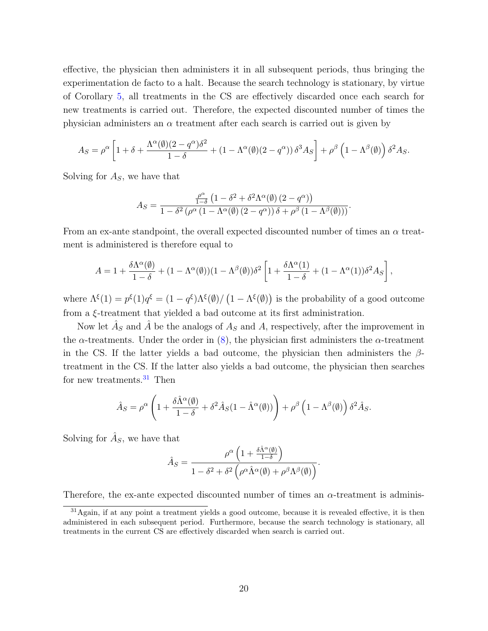effective, the physician then administers it in all subsequent periods, thus bringing the experimentation de facto to a halt. Because the search technology is stationary, by virtue of Corollary [5,](#page-16-2) all treatments in the CS are effectively discarded once each search for new treatments is carried out. Therefore, the expected discounted number of times the physician administers an  $\alpha$  treatment after each search is carried out is given by

$$
A_S = \rho^{\alpha} \left[ 1 + \delta + \frac{\Lambda^{\alpha}(\emptyset)(2 - q^{\alpha})\delta^2}{1 - \delta} + (1 - \Lambda^{\alpha}(\emptyset)(2 - q^{\alpha})) \delta^3 A_S \right] + \rho^{\beta} \left( 1 - \Lambda^{\beta}(\emptyset) \right) \delta^2 A_S.
$$

Solving for  $A<sub>S</sub>$ , we have that

$$
A_S = \frac{\frac{\rho^{\alpha}}{1-\delta} \left(1 - \delta^2 + \delta^2 \Lambda^{\alpha}(\emptyset) \left(2 - q^{\alpha}\right)\right)}{1 - \delta^2 \left(\rho^{\alpha} \left(1 - \Lambda^{\alpha}(\emptyset) \left(2 - q^{\alpha}\right)\right) \delta + \rho^{\beta} \left(1 - \Lambda^{\beta}(\emptyset)\right)\right)}.
$$

From an ex-ante standpoint, the overall expected discounted number of times an  $\alpha$  treatment is administered is therefore equal to

$$
A = 1 + \frac{\delta \Lambda^{\alpha}(\emptyset)}{1 - \delta} + (1 - \Lambda^{\alpha}(\emptyset))(1 - \Lambda^{\beta}(\emptyset))\delta^{2} \left[1 + \frac{\delta \Lambda^{\alpha}(1)}{1 - \delta} + (1 - \Lambda^{\alpha}(1))\delta^{2} A_{S}\right],
$$

where  $\Lambda^{\xi}(1) = p^{\xi}(1)q^{\xi} = (1 - q^{\xi})\Lambda^{\xi}(\emptyset) / (1 - \Lambda^{\xi}(\emptyset))$  is the probability of a good outcome from a ξ-treatment that yielded a bad outcome at its first administration.

Now let  $\hat{A}_S$  and  $\hat{A}$  be the analogs of  $A_S$  and  $A$ , respectively, after the improvement in the  $\alpha$ -treatments. Under the order in [\(8\)](#page-20-1), the physician first administers the  $\alpha$ -treatment in the CS. If the latter yields a bad outcome, the physician then administers the  $\beta$ treatment in the CS. If the latter also yields a bad outcome, the physician then searches for new treatments. $31$  Then

$$
\hat{A}_S = \rho^{\alpha} \left( 1 + \frac{\delta \hat{\Lambda}^{\alpha}(\emptyset)}{1 - \delta} + \delta^2 \hat{A}_S (1 - \hat{\Lambda}^{\alpha}(\emptyset)) \right) + \rho^{\beta} \left( 1 - {\Lambda}^{\beta}(\emptyset) \right) \delta^2 \hat{A}_S.
$$

Solving for  $\hat{A}_S$ , we have that

$$
\hat{A}_S = \frac{\rho^{\alpha}\left(1 + \frac{\delta\hat{\Lambda}^{\alpha}(\emptyset)}{1 - \delta}\right)}{1 - \delta^2 + \delta^2\left(\rho^{\alpha}\hat{\Lambda}^{\alpha}(\emptyset) + \rho^{\beta}\Lambda^{\beta}(\emptyset)\right)}.
$$

Therefore, the ex-ante expected discounted number of times an  $\alpha$ -treatment is adminis-

<span id="page-21-0"></span><sup>31</sup>Again, if at any point a treatment yields a good outcome, because it is revealed effective, it is then administered in each subsequent period. Furthermore, because the search technology is stationary, all treatments in the current CS are effectively discarded when search is carried out.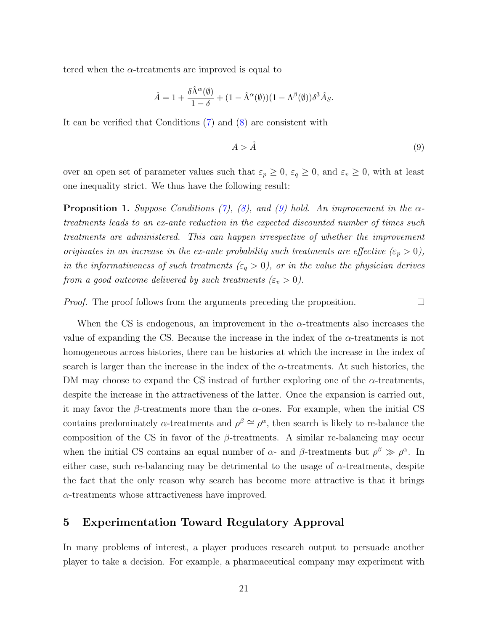tered when the  $\alpha$ -treatments are improved is equal to

$$
\hat{A} = 1 + \frac{\delta \hat{\Lambda}^{\alpha}(\emptyset)}{1 - \delta} + (1 - \hat{\Lambda}^{\alpha}(\emptyset))(1 - {\Lambda}^{\beta}(\emptyset))\delta^{3}\hat{A}_{S}.
$$

It can be verified that Conditions [\(7\)](#page-19-1) and [\(8\)](#page-20-1) are consistent with

$$
A > \hat{A} \tag{9}
$$

<span id="page-22-1"></span> $\Box$ 

over an open set of parameter values such that  $\varepsilon_p \geq 0$ ,  $\varepsilon_q \geq 0$ , and  $\varepsilon_v \geq 0$ , with at least one inequality strict. We thus have the following result:

<span id="page-22-2"></span>**Proposition 1.** Suppose Conditions [\(7\)](#page-19-1), [\(8\)](#page-20-1), and [\(9\)](#page-22-1) hold. An improvement in the  $\alpha$ treatments leads to an ex-ante reduction in the expected discounted number of times such treatments are administered. This can happen irrespective of whether the improvement originates in an increase in the ex-ante probability such treatments are effective  $(\varepsilon_p > 0)$ , in the informativeness of such treatments ( $\varepsilon_q > 0$ ), or in the value the physician derives from a good outcome delivered by such treatments  $(\varepsilon_v > 0)$ .

*Proof.* The proof follows from the arguments preceding the proposition.

When the CS is endogenous, an improvement in the  $\alpha$ -treatments also increases the value of expanding the CS. Because the increase in the index of the  $\alpha$ -treatments is not homogeneous across histories, there can be histories at which the increase in the index of search is larger than the increase in the index of the  $\alpha$ -treatments. At such histories, the DM may choose to expand the CS instead of further exploring one of the  $\alpha$ -treatments, despite the increase in the attractiveness of the latter. Once the expansion is carried out, it may favor the  $\beta$ -treatments more than the  $\alpha$ -ones. For example, when the initial CS contains predominately  $\alpha$ -treatments and  $\rho^{\beta} \cong \rho^{\alpha}$ , then search is likely to re-balance the composition of the CS in favor of the  $\beta$ -treatments. A similar re-balancing may occur when the initial CS contains an equal number of  $\alpha$ - and  $\beta$ -treatments but  $\rho^{\beta} \gg \rho^{\alpha}$ . In either case, such re-balancing may be detrimental to the usage of  $\alpha$ -treatments, despite the fact that the only reason why search has become more attractive is that it brings  $\alpha$ -treatments whose attractiveness have improved.

# <span id="page-22-0"></span>5 Experimentation Toward Regulatory Approval

In many problems of interest, a player produces research output to persuade another player to take a decision. For example, a pharmaceutical company may experiment with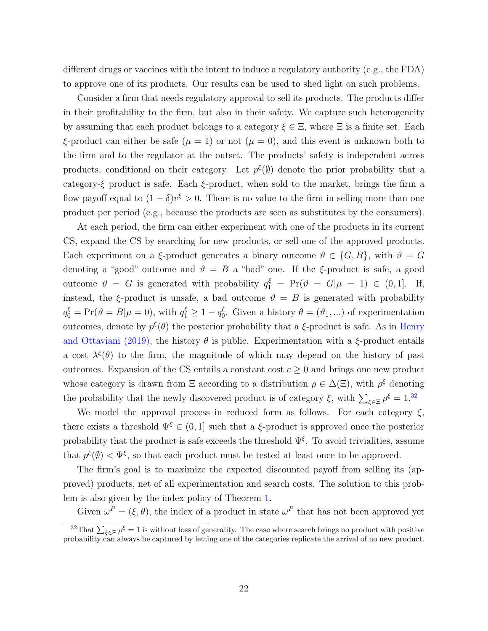different drugs or vaccines with the intent to induce a regulatory authority (e.g., the FDA) to approve one of its products. Our results can be used to shed light on such problems.

Consider a firm that needs regulatory approval to sell its products. The products differ in their profitability to the firm, but also in their safety. We capture such heterogeneity by assuming that each product belongs to a category  $\xi \in \Xi$ , where  $\Xi$  is a finite set. Each ξ-product can either be safe ( $\mu = 1$ ) or not ( $\mu = 0$ ), and this event is unknown both to the firm and to the regulator at the outset. The products' safety is independent across products, conditional on their category. Let  $p^{\xi}(\emptyset)$  denote the prior probability that a category-ξ product is safe. Each  $\xi$ -product, when sold to the market, brings the firm a flow payoff equal to  $(1 - \delta)v^{\xi} > 0$ . There is no value to the firm in selling more than one product per period (e.g., because the products are seen as substitutes by the consumers).

At each period, the firm can either experiment with one of the products in its current CS, expand the CS by searching for new products, or sell one of the approved products. Each experiment on a  $\xi$ -product generates a binary outcome  $\vartheta \in \{G, B\}$ , with  $\vartheta = G$ denoting a "good" outcome and  $\vartheta = B$  a "bad" one. If the ξ-product is safe, a good outcome  $\vartheta = G$  is generated with probability  $q_1^{\xi} = Pr(\vartheta = G | \mu = 1) \in (0, 1].$  If, instead, the ξ-product is unsafe, a bad outcome  $\vartheta = B$  is generated with probability  $q_0^{\xi} = \Pr(\vartheta = B | \mu = 0)$ , with  $q_1^{\xi} \ge 1 - q_0^{\xi}$ <sup>5</sup><sub>0</sub>. Given a history  $\theta = (\vartheta_1, \ldots)$  of experimentation outcomes, denote by  $p^{\xi}(\theta)$  the posterior probability that a  $\xi$ -product is safe. As in [Henry](#page-33-10) [and Ottaviani \(2019\),](#page-33-10) the history  $\theta$  is public. Experimentation with a  $\xi$ -product entails a cost  $\lambda^{\xi}(\theta)$  to the firm, the magnitude of which may depend on the history of past outcomes. Expansion of the CS entails a constant cost  $c \geq 0$  and brings one new product whose category is drawn from  $\Xi$  according to a distribution  $\rho \in \Delta(\Xi)$ , with  $\rho^{\xi}$  denoting the probability that the newly discovered product is of category  $\xi$ , with  $\sum_{\xi \in \Xi} \rho^{\xi} = 1^{32}$  $\sum_{\xi \in \Xi} \rho^{\xi} = 1^{32}$  $\sum_{\xi \in \Xi} \rho^{\xi} = 1^{32}$ 

We model the approval process in reduced form as follows. For each category  $\xi$ , there exists a threshold  $\Psi^{\xi} \in (0, 1]$  such that a  $\xi$ -product is approved once the posterior probability that the product is safe exceeds the threshold  $\Psi^{\xi}$ . To avoid trivialities, assume that  $p^{\xi}(\emptyset) < \Psi^{\xi}$ , so that each product must be tested at least once to be approved.

The firm's goal is to maximize the expected discounted payoff from selling its (approved) products, net of all experimentation and search costs. The solution to this problem is also given by the index policy of Theorem [1.](#page-13-4)

Given  $\omega^P = (\xi, \theta)$ , the index of a product in state  $\omega^P$  that has not been approved yet

<span id="page-23-0"></span><sup>&</sup>lt;sup>32</sup>That  $\sum_{\xi \in \Xi} \rho^{\xi} = 1$  is without loss of generality. The case where search brings no product with positive probability can always be captured by letting one of the categories replicate the arrival of no new product.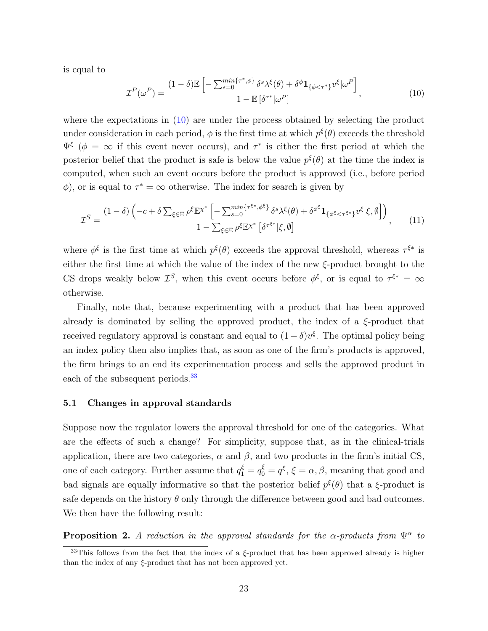is equal to

<span id="page-24-1"></span>
$$
\mathcal{I}^{P}(\omega^{P}) = \frac{(1-\delta)\mathbb{E}\left[-\sum_{s=0}^{\min\{\tau^{*},\phi\}}\delta^{s}\lambda^{\xi}(\theta) + \delta^{\phi}\mathbf{1}_{\{\phi<\tau^{*}\}}v^{\xi}|\omega^{P}\right]}{1 - \mathbb{E}\left[\delta^{\tau^{*}}|\omega^{P}\right]},
$$
\n(10)

where the expectations in  $(10)$  are under the process obtained by selecting the product under consideration in each period,  $\phi$  is the first time at which  $p^{\xi}(\theta)$  exceeds the threshold  $\Psi^{\xi}$  ( $\phi = \infty$  if this event never occurs), and  $\tau^*$  is either the first period at which the posterior belief that the product is safe is below the value  $p^{\xi}(\theta)$  at the time the index is computed, when such an event occurs before the product is approved (i.e., before period  $\phi$ , or is equal to  $\tau^* = \infty$  otherwise. The index for search is given by

$$
\mathcal{I}^{S} = \frac{(1-\delta)\left(-c+\delta\sum_{\xi\in\Xi}\rho^{\xi}\mathbb{E}^{\chi^{*}}\left[-\sum_{s=0}^{min\{\tau^{\xi^{*}},\phi^{\xi}\}}\delta^{s}\lambda^{\xi}(\theta)+\delta^{\phi^{\xi}}\mathbf{1}_{\{\phi^{\xi}<\tau^{\xi^{*}}\}}v^{\xi}|\xi,\emptyset\right]\right)}{1-\sum_{\xi\in\Xi}\rho^{\xi}\mathbb{E}^{\chi^{*}}\left[\delta^{\tau^{\xi^{*}}}|\xi,\emptyset\right]},\tag{11}
$$

where  $\phi^{\xi}$  is the first time at which  $p^{\xi}(\theta)$  exceeds the approval threshold, whereas  $\tau^{\xi*}$  is either the first time at which the value of the index of the new  $\xi$ -product brought to the CS drops weakly below  $\mathcal{I}^S$ , when this event occurs before  $\phi^{\xi}$ , or is equal to  $\tau^{\xi^*} = \infty$ otherwise.

Finally, note that, because experimenting with a product that has been approved already is dominated by selling the approved product, the index of a  $\xi$ -product that received regulatory approval is constant and equal to  $(1 - \delta)v^{\xi}$ . The optimal policy being an index policy then also implies that, as soon as one of the firm's products is approved, the firm brings to an end its experimentation process and sells the approved product in each of the subsequent periods.<sup>[33](#page-24-2)</sup>

#### 5.1 Changes in approval standards

Suppose now the regulator lowers the approval threshold for one of the categories. What are the effects of such a change? For simplicity, suppose that, as in the clinical-trials application, there are two categories,  $\alpha$  and  $\beta$ , and two products in the firm's initial CS, one of each category. Further assume that  $q_1^{\xi} = q_0^{\xi} = q^{\xi}$ ,  $\xi = \alpha, \beta$ , meaning that good and bad signals are equally informative so that the posterior belief  $p^{\xi}(\theta)$  that a  $\xi$ -product is safe depends on the history  $\theta$  only through the difference between good and bad outcomes. We then have the following result:

<span id="page-24-0"></span>**Proposition 2.** A reduction in the approval standards for the  $\alpha$ -products from  $\Psi^{\alpha}$  to

<span id="page-24-2"></span> $33$ This follows from the fact that the index of a  $\xi$ -product that has been approved already is higher than the index of any  $\xi$ -product that has not been approved yet.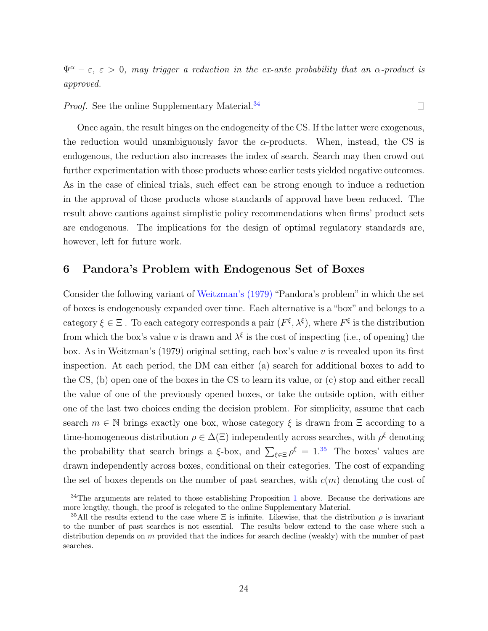$\Psi^{\alpha} - \varepsilon$ ,  $\varepsilon > 0$ , may trigger a reduction in the ex-ante probability that an  $\alpha$ -product is approved.

 $\Box$ 

Proof. See the online Supplementary Material.<sup>[34](#page-25-1)</sup>

Once again, the result hinges on the endogeneity of the CS. If the latter were exogenous, the reduction would unambiguously favor the  $\alpha$ -products. When, instead, the CS is endogenous, the reduction also increases the index of search. Search may then crowd out further experimentation with those products whose earlier tests yielded negative outcomes. As in the case of clinical trials, such effect can be strong enough to induce a reduction in the approval of those products whose standards of approval have been reduced. The result above cautions against simplistic policy recommendations when firms' product sets are endogenous. The implications for the design of optimal regulatory standards are, however, left for future work.

# <span id="page-25-0"></span>6 Pandora's Problem with Endogenous Set of Boxes

Consider the following variant of [Weitzman's \(1979\)](#page-34-1) "Pandora's problem" in which the set of boxes is endogenously expanded over time. Each alternative is a "box" and belongs to a category  $\xi \in \Xi$ . To each category corresponds a pair  $(F^{\xi}, \lambda^{\xi})$ , where  $F^{\xi}$  is the distribution from which the box's value v is drawn and  $\lambda^{\xi}$  is the cost of inspecting (i.e., of opening) the box. As in Weitzman's (1979) original setting, each box's value  $v$  is revealed upon its first inspection. At each period, the DM can either (a) search for additional boxes to add to the CS, (b) open one of the boxes in the CS to learn its value, or (c) stop and either recall the value of one of the previously opened boxes, or take the outside option, with either one of the last two choices ending the decision problem. For simplicity, assume that each search  $m \in \mathbb{N}$  brings exactly one box, whose category  $\xi$  is drawn from  $\Xi$  according to a time-homogeneous distribution  $\rho \in \Delta(\Xi)$  independently across searches, with  $\rho^{\xi}$  denoting the probability that search brings a  $\xi$ -box, and  $\sum_{\xi \in \Xi} \rho^{\xi} = 1^{35}$  $\sum_{\xi \in \Xi} \rho^{\xi} = 1^{35}$  $\sum_{\xi \in \Xi} \rho^{\xi} = 1^{35}$  The boxes' values are drawn independently across boxes, conditional on their categories. The cost of expanding the set of boxes depends on the number of past searches, with  $c(m)$  denoting the cost of

<span id="page-25-1"></span><sup>&</sup>lt;sup>34</sup>The arguments are related to those establishing Proposition [1](#page-22-2) above. Because the derivations are more lengthy, though, the proof is relegated to the online Supplementary Material.

<span id="page-25-2"></span><sup>&</sup>lt;sup>35</sup>All the results extend to the case where  $\Xi$  is infinite. Likewise, that the distribution  $\rho$  is invariant to the number of past searches is not essential. The results below extend to the case where such a distribution depends on m provided that the indices for search decline (weakly) with the number of past searches.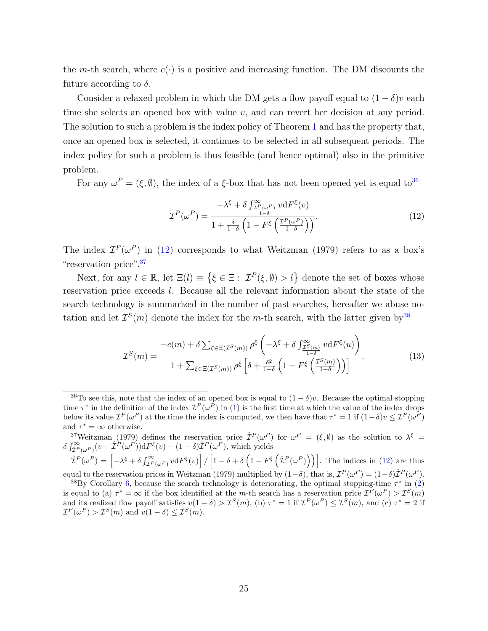the m-th search, where  $c(\cdot)$  is a positive and increasing function. The DM discounts the future according to  $\delta$ .

Consider a relaxed problem in which the DM gets a flow payoff equal to  $(1 - \delta)v$  each time she selects an opened box with value v, and can revert her decision at any period. The solution to such a problem is the index policy of Theorem [1](#page-13-4) and has the property that, once an opened box is selected, it continues to be selected in all subsequent periods. The index policy for such a problem is thus feasible (and hence optimal) also in the primitive problem.

For any  $\omega^P = (\xi, \emptyset)$ , the index of a  $\xi$ -box that has not been opened yet is equal to<sup>[36](#page-26-0)</sup>

<span id="page-26-4"></span><span id="page-26-1"></span>
$$
\mathcal{I}^{P}(\omega^{P}) = \frac{-\lambda^{\xi} + \delta \int_{\frac{\mathcal{I}^{P}(\omega^{P})}{1-\delta}}^{\infty} v \mathrm{d}F^{\xi}(v)}{1 + \frac{\delta}{1-\delta} \left(1 - F^{\xi} \left(\frac{\mathcal{I}^{P}(\omega^{P})}{1-\delta}\right)\right)}.
$$
(12)

The index  $\mathcal{I}^P(\omega^P)$  in [\(12\)](#page-26-1) corresponds to what Weitzman (1979) refers to as a box's "reservation price".[37](#page-26-2)

Next, for any  $l \in \mathbb{R}$ , let  $\Xi(l) \equiv \{\xi \in \Xi : \mathcal{I}^P(\xi, \emptyset) > l\}$  denote the set of boxes whose reservation price exceeds l. Because all the relevant information about the state of the search technology is summarized in the number of past searches, hereafter we abuse notation and let  $\mathcal{I}^S(m)$  denote the index for the m-th search, with the latter given by  $38$ 

$$
\mathcal{I}^{S}(m) = \frac{-c(m) + \delta \sum_{\xi \in \Xi(\mathcal{I}^{S}(m))} \rho^{\xi} \left( -\lambda^{\xi} + \delta \int_{\frac{\mathcal{I}^{S}(m)}{1-\delta}}^{\infty} v \, dF^{\xi}(u) \right)}{1 + \sum_{\xi \in \Xi(\mathcal{I}^{S}(m))} \rho^{\xi} \left[ \delta + \frac{\delta^{2}}{1-\delta} \left( 1 - F^{\xi} \left( \frac{\mathcal{I}^{S}(m)}{1-\delta} \right) \right) \right]}.
$$
\n(13)

<span id="page-26-2"></span><sup>37</sup>Weitzman (1979) defines the reservation price  $\hat{\mathcal{I}}^P(\omega^P)$  for  $\omega^P = (\xi, \emptyset)$  as the solution to  $\lambda^{\xi} =$  $\delta \int_{\hat{\mathcal{I}}^P(\omega^P)}^{\infty} (v - \hat{\mathcal{I}}^P(\omega^P)) dF^{\xi}(v) - (1 - \delta) \hat{\mathcal{I}}^P(\omega^P)$ , which yields

 $\hat{\mathcal{I}}^P(\omega^P) = \left[-\lambda^{\xi} + \delta \int_{\hat{\mathcal{I}}^P(\omega^P)}^{\infty} v \mathrm{d}F^{\xi}(v)\right] / \left[1 - \delta + \delta \left(1 - F^{\xi}\left(\hat{\mathcal{I}}^P(\omega^P)\right)\right)\right]$ . The indices in [\(12\)](#page-26-1) are thus equal to the reservation prices in Weitzman (1979) multiplied by  $(1-\delta)$ , that is,  $\mathcal{I}^P(\omega^P) = (1-\delta)\hat{\mathcal{I}}^P(\omega^P)$ .

<span id="page-26-3"></span><sup>38</sup>By Corollary [6,](#page-16-1) because the search technology is deteriorating, the optimal stopping-time  $\tau^*$  in [\(2\)](#page-13-3) is equal to (a)  $\tau^* = \infty$  if the box identified at the *m*-th search has a reservation price  $\mathcal{I}^P(\omega^P) > \mathcal{I}^S(m)$ and its realized flow payoff satisfies  $v(1-\delta) > \mathcal{I}^S(m)$ , (b)  $\tau^* = 1$  if  $\mathcal{I}^P(\omega^P) \leq \mathcal{I}^S(m)$ , and (c)  $\tau^* = 2$  if  $\mathcal{I}^P(\omega^P) > \mathcal{I}^S(m)$  and  $v(1-\delta) \leq \mathcal{I}^S(m)$ .

<span id="page-26-0"></span><sup>&</sup>lt;sup>36</sup>To see this, note that the index of an opened box is equal to  $(1 - \delta)v$ . Because the optimal stopping time  $\tau^*$  in the definition of the index  $\mathcal{I}^P(\omega^P)$  in [\(1\)](#page-12-2) is the first time at which the value of the index drops below its value  $\mathcal{I}^P(\omega^P)$  at the time the index is computed, we then have that  $\tau^* = 1$  if  $(1-\delta)v \leq \mathcal{I}^P(\omega^P)$ and  $\tau^* = \infty$  otherwise.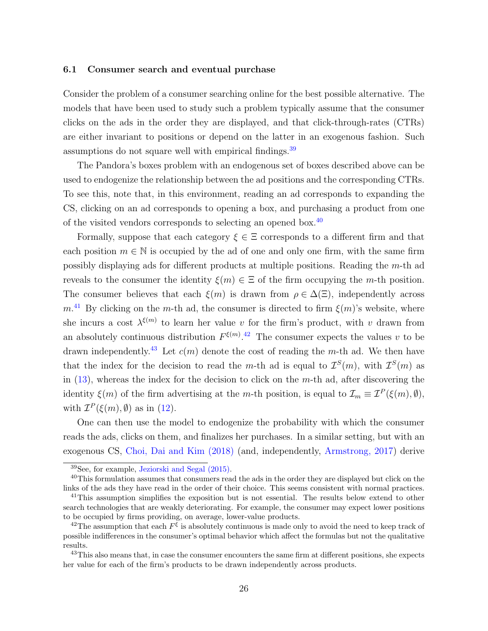#### 6.1 Consumer search and eventual purchase

Consider the problem of a consumer searching online for the best possible alternative. The models that have been used to study such a problem typically assume that the consumer clicks on the ads in the order they are displayed, and that click-through-rates (CTRs) are either invariant to positions or depend on the latter in an exogenous fashion. Such assumptions do not square well with empirical findings.<sup>[39](#page-27-0)</sup>

The Pandora's boxes problem with an endogenous set of boxes described above can be used to endogenize the relationship between the ad positions and the corresponding CTRs. To see this, note that, in this environment, reading an ad corresponds to expanding the CS, clicking on an ad corresponds to opening a box, and purchasing a product from one of the visited vendors corresponds to selecting an opened box.[40](#page-27-1)

Formally, suppose that each category  $\xi \in \Xi$  corresponds to a different firm and that each position  $m \in \mathbb{N}$  is occupied by the ad of one and only one firm, with the same firm possibly displaying ads for different products at multiple positions. Reading the m-th ad reveals to the consumer the identity  $\xi(m) \in \Xi$  of the firm occupying the m-th position. The consumer believes that each  $\xi(m)$  is drawn from  $\rho \in \Delta(\Xi)$ , independently across  $m<sup>41</sup>$  $m<sup>41</sup>$  $m<sup>41</sup>$  By clicking on the m-th ad, the consumer is directed to firm  $\xi(m)$ 's website, where she incurs a cost  $\lambda^{\xi(m)}$  to learn her value v for the firm's product, with v drawn from an absolutely continuous distribution  $F^{\xi(m)}$ .<sup>[42](#page-27-3)</sup> The consumer expects the values v to be drawn independently.<sup>[43](#page-27-4)</sup> Let  $c(m)$  denote the cost of reading the m-th ad. We then have that the index for the decision to read the m-th ad is equal to  $\mathcal{I}^S(m)$ , with  $\mathcal{I}^S(m)$  as in  $(13)$ , whereas the index for the decision to click on the m-th ad, after discovering the identity  $\xi(m)$  of the firm advertising at the m-th position, is equal to  $\mathcal{I}_m \equiv \mathcal{I}^P(\xi(m), \emptyset)$ , with  $\mathcal{I}^P(\xi(m), \emptyset)$  as in [\(12\)](#page-26-1).

One can then use the model to endogenize the probability with which the consumer reads the ads, clicks on them, and finalizes her purchases. In a similar setting, but with an exogenous CS, [Choi, Dai and Kim \(2018\)](#page-32-3) (and, independently, [Armstrong, 2017\)](#page-32-5) derive

<span id="page-27-1"></span><span id="page-27-0"></span><sup>39</sup>See, for example, [Jeziorski and Segal \(2015\).](#page-33-15)

<sup>&</sup>lt;sup>40</sup>This formulation assumes that consumers read the ads in the order they are displayed but click on the links of the ads they have read in the order of their choice. This seems consistent with normal practices.

<span id="page-27-2"></span><sup>&</sup>lt;sup>41</sup>This assumption simplifies the exposition but is not essential. The results below extend to other search technologies that are weakly deteriorating. For example, the consumer may expect lower positions to be occupied by firms providing, on average, lower-value products.

<span id="page-27-3"></span><sup>&</sup>lt;sup>42</sup>The assumption that each  $F^{\xi}$  is absolutely continuous is made only to avoid the need to keep track of possible indifferences in the consumer's optimal behavior which affect the formulas but not the qualitative results.

<span id="page-27-4"></span><sup>&</sup>lt;sup>43</sup>This also means that, in case the consumer encounters the same firm at different positions, she expects her value for each of the firm's products to be drawn independently across products.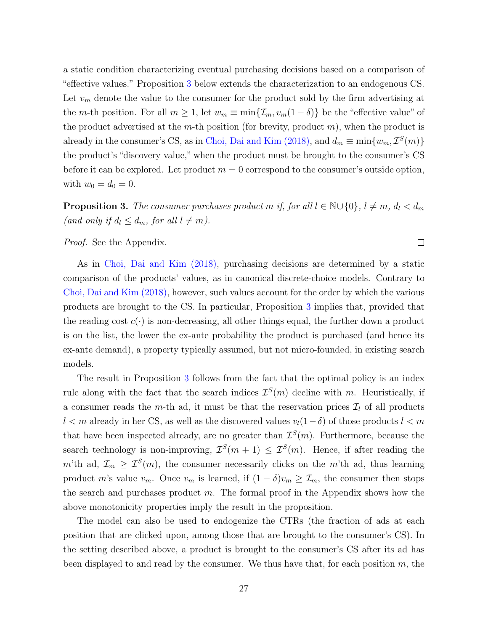a static condition characterizing eventual purchasing decisions based on a comparison of "effective values." Proposition [3](#page-28-0) below extends the characterization to an endogenous CS. Let  $v_m$  denote the value to the consumer for the product sold by the firm advertising at the m-th position. For all  $m \geq 1$ , let  $w_m \equiv \min\{\mathcal{I}_m, v_m(1-\delta)\}\)$  be the "effective value" of the product advertised at the m-th position (for brevity, product  $m$ ), when the product is already in the consumer's CS, as in [Choi, Dai and Kim \(2018\),](#page-32-3) and  $d_m \equiv \min\{w_m, \mathcal{I}^S(m)\}\$ the product's "discovery value," when the product must be brought to the consumer's CS before it can be explored. Let product  $m = 0$  correspond to the consumer's outside option, with  $w_0 = d_0 = 0$ .

<span id="page-28-0"></span>**Proposition 3.** The consumer purchases product m if, for all  $l \in \mathbb{N} \cup \{0\}$ ,  $l \neq m$ ,  $d_l < d_m$ (and only if  $d_l \leq d_m$ , for all  $l \neq m$ ).

 $\Box$ 

Proof. See the Appendix.

As in [Choi, Dai and Kim \(2018\),](#page-32-3) purchasing decisions are determined by a static comparison of the products' values, as in canonical discrete-choice models. Contrary to [Choi, Dai and Kim \(2018\),](#page-32-3) however, such values account for the order by which the various products are brought to the CS. In particular, Proposition [3](#page-28-0) implies that, provided that the reading cost  $c(\cdot)$  is non-decreasing, all other things equal, the further down a product is on the list, the lower the ex-ante probability the product is purchased (and hence its ex-ante demand), a property typically assumed, but not micro-founded, in existing search models.

The result in Proposition [3](#page-28-0) follows from the fact that the optimal policy is an index rule along with the fact that the search indices  $\mathcal{I}^S(m)$  decline with m. Heuristically, if a consumer reads the m-th ad, it must be that the reservation prices  $\mathcal{I}_l$  of all products  $l < m$  already in her CS, as well as the discovered values  $v_l(1-\delta)$  of those products  $l < m$ that have been inspected already, are no greater than  $\mathcal{I}^S(m)$ . Furthermore, because the search technology is non-improving,  $\mathcal{I}^S(m+1) \leq \mathcal{I}^S(m)$ . Hence, if after reading the m'th ad,  $\mathcal{I}_m \geq \mathcal{I}^S(m)$ , the consumer necessarily clicks on the m'th ad, thus learning product m's value  $v_m$ . Once  $v_m$  is learned, if  $(1 - \delta)v_m \geq \mathcal{I}_m$ , the consumer then stops the search and purchases product  $m$ . The formal proof in the Appendix shows how the above monotonicity properties imply the result in the proposition.

The model can also be used to endogenize the CTRs (the fraction of ads at each position that are clicked upon, among those that are brought to the consumer's CS). In the setting described above, a product is brought to the consumer's CS after its ad has been displayed to and read by the consumer. We thus have that, for each position  $m$ , the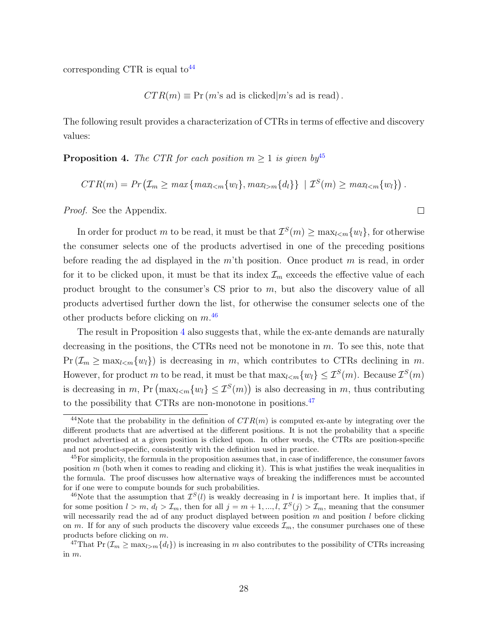corresponding CTR is equal to  $44$ 

 $CTR(m) \equiv Pr(m's ad is clicked|m's ad is read).$ 

The following result provides a characterization of CTRs in terms of effective and discovery values:

<span id="page-29-3"></span>**Proposition 4.** The CTR for each position  $m \geq 1$  is given by <sup>[45](#page-29-1)</sup>

$$
CTR(m) = Pr\left(\mathcal{I}_m \geq \max\{\max_{l < m}\{w_l\}, \max_{l > m}\{d_l\}\} \mid \mathcal{I}^S(m) \geq \max_{l < m}\{w_l\}\right).
$$

 $\Box$ 

Proof. See the Appendix.

In order for product m to be read, it must be that  $\mathcal{I}^S(m) \geq \max_{l \leq m} \{w_l\}$ , for otherwise the consumer selects one of the products advertised in one of the preceding positions before reading the ad displayed in the m'th position. Once product m is read, in order for it to be clicked upon, it must be that its index  $\mathcal{I}_m$  exceeds the effective value of each product brought to the consumer's CS prior to m, but also the discovery value of all products advertised further down the list, for otherwise the consumer selects one of the other products before clicking on  $m^{46}$  $m^{46}$  $m^{46}$ 

The result in Proposition [4](#page-29-3) also suggests that, while the ex-ante demands are naturally decreasing in the positions, the CTRs need not be monotone in  $m$ . To see this, note that  $Pr(\mathcal{I}_m \geq \max_{l \leq m} \{w_l\})$  is decreasing in m, which contributes to CTRs declining in m. However, for product m to be read, it must be that  $\max_{l \le m} \{w_l\} \le \mathcal{I}^S(m)$ . Because  $\mathcal{I}^S(m)$ is decreasing in m, Pr  $(\max_{l \leq m} \{w_l\} \leq \mathcal{I}^S(m))$  is also decreasing in m, thus contributing to the possibility that CTRs are non-monotone in positions.<sup>[47](#page-29-4)</sup>

<span id="page-29-0"></span><sup>&</sup>lt;sup>44</sup>Note that the probability in the definition of  $CTR(m)$  is computed ex-ante by integrating over the different products that are advertised at the different positions. It is not the probability that a specific product advertised at a given position is clicked upon. In other words, the CTRs are position-specific and not product-specific, consistently with the definition used in practice.

<span id="page-29-1"></span><sup>&</sup>lt;sup>45</sup>For simplicity, the formula in the proposition assumes that, in case of indifference, the consumer favors position  $m$  (both when it comes to reading and clicking it). This is what justifies the weak inequalities in the formula. The proof discusses how alternative ways of breaking the indifferences must be accounted for if one were to compute bounds for such probabilities.

<span id="page-29-2"></span><sup>&</sup>lt;sup>46</sup>Note that the assumption that  $\mathcal{I}^{S}(l)$  is weakly decreasing in l is important here. It implies that, if for some position  $l > m$ ,  $d_l > \mathcal{I}_m$ , then for all  $j = m + 1, ..., l$ ,  $\mathcal{I}^S(j) > \mathcal{I}_m$ , meaning that the consumer will necessarily read the ad of any product displayed between position  $m$  and position  $l$  before clicking on m. If for any of such products the discovery value exceeds  $\mathcal{I}_m$ , the consumer purchases one of these products before clicking on m.

<span id="page-29-4"></span><sup>&</sup>lt;sup>47</sup>That Pr ( $\mathcal{I}_m \geq \max_{l>m} \{d_l\}$ ) is increasing in m also contributes to the possibility of CTRs increasing in m.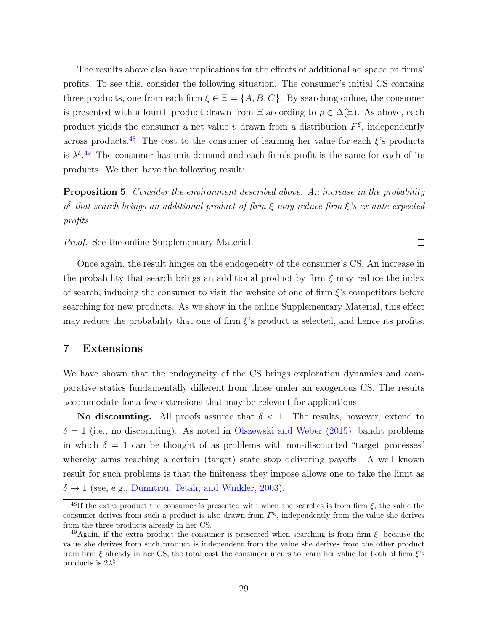The results above also have implications for the effects of additional ad space on firms' profits. To see this, consider the following situation. The consumer's initial CS contains three products, one from each firm  $\xi \in \Xi = \{A, B, C\}$ . By searching online, the consumer is presented with a fourth product drawn from  $\Xi$  according to  $\rho \in \Delta(\Xi)$ . As above, each product yields the consumer a net value v drawn from a distribution  $F^{\xi}$ , independently across products.<sup>[48](#page-30-2)</sup> The cost to the consumer of learning her value for each  $\xi$ 's products is  $\lambda^{\xi}$ .<sup>[49](#page-30-3)</sup> The consumer has unit demand and each firm's profit is the same for each of its products. We then have the following result:

<span id="page-30-1"></span>**Proposition 5.** Consider the environment described above. An increase in the probability  $\rho^{\xi}$  that search brings an additional product of firm  $\xi$  may reduce firm  $\xi$ 's ex-ante expected profits.

 $\Box$ 

Proof. See the online Supplementary Material.

Once again, the result hinges on the endogeneity of the consumer's CS. An increase in the probability that search brings an additional product by firm  $\xi$  may reduce the index of search, inducing the consumer to visit the website of one of firm  $\xi$ 's competitors before searching for new products. As we show in the online Supplementary Material, this effect may reduce the probability that one of firm  $\xi$ 's product is selected, and hence its profits.

## <span id="page-30-0"></span>7 Extensions

We have shown that the endogeneity of the CS brings exploration dynamics and comparative statics fundamentally different from those under an exogenous CS. The results accommodate for a few extensions that may be relevant for applications.

No discounting. All proofs assume that  $\delta$  < 1. The results, however, extend to  $\delta = 1$  (i.e., no discounting). As noted in [Olszewski and Weber \(2015\),](#page-33-13) bandit problems in which  $\delta = 1$  can be thought of as problems with non-discounted "target processes" whereby arms reaching a certain (target) state stop delivering payoffs. A well known result for such problems is that the finiteness they impose allows one to take the limit as  $\delta \rightarrow 1$  (see, e.g., [Dumitriu, Tetali, and Winkler, 2003\)](#page-32-14).

<span id="page-30-2"></span><sup>&</sup>lt;sup>48</sup>If the extra product the consumer is presented with when she searches is from firm  $\xi$ , the value the consumer derives from such a product is also drawn from  $F^{\xi}$ , independently from the value she derives from the three products already in her CS.

<span id="page-30-3"></span><sup>&</sup>lt;sup>49</sup>Again, if the extra product the consumer is presented when searching is from firm  $\xi$ , because the value she derives from such product is independent from the value she derives from the other product from firm  $\xi$  already in her CS, the total cost the consumer incurs to learn her value for both of firm  $\xi$ 's products is  $2\lambda^{\xi}$ .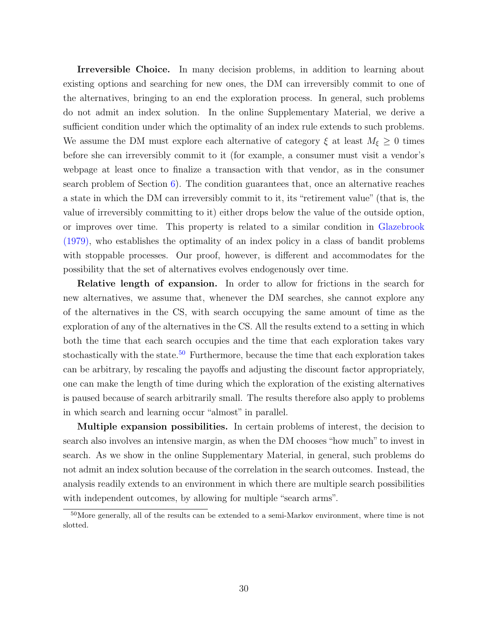Irreversible Choice. In many decision problems, in addition to learning about existing options and searching for new ones, the DM can irreversibly commit to one of the alternatives, bringing to an end the exploration process. In general, such problems do not admit an index solution. In the online Supplementary Material, we derive a sufficient condition under which the optimality of an index rule extends to such problems. We assume the DM must explore each alternative of category  $\xi$  at least  $M_{\xi} \geq 0$  times before she can irreversibly commit to it (for example, a consumer must visit a vendor's webpage at least once to finalize a transaction with that vendor, as in the consumer search problem of Section  $6$ ). The condition guarantees that, once an alternative reaches a state in which the DM can irreversibly commit to it, its "retirement value" (that is, the value of irreversibly committing to it) either drops below the value of the outside option, or improves over time. This property is related to a similar condition in [Glazebrook](#page-33-16) [\(1979\),](#page-33-16) who establishes the optimality of an index policy in a class of bandit problems with stoppable processes. Our proof, however, is different and accommodates for the possibility that the set of alternatives evolves endogenously over time.

Relative length of expansion. In order to allow for frictions in the search for new alternatives, we assume that, whenever the DM searches, she cannot explore any of the alternatives in the CS, with search occupying the same amount of time as the exploration of any of the alternatives in the CS. All the results extend to a setting in which both the time that each search occupies and the time that each exploration takes vary stochastically with the state.<sup>[50](#page-31-0)</sup> Furthermore, because the time that each exploration takes can be arbitrary, by rescaling the payoffs and adjusting the discount factor appropriately, one can make the length of time during which the exploration of the existing alternatives is paused because of search arbitrarily small. The results therefore also apply to problems in which search and learning occur "almost" in parallel.

Multiple expansion possibilities. In certain problems of interest, the decision to search also involves an intensive margin, as when the DM chooses "how much" to invest in search. As we show in the online Supplementary Material, in general, such problems do not admit an index solution because of the correlation in the search outcomes. Instead, the analysis readily extends to an environment in which there are multiple search possibilities with independent outcomes, by allowing for multiple "search arms".

<span id="page-31-0"></span><sup>50</sup>More generally, all of the results can be extended to a semi-Markov environment, where time is not slotted.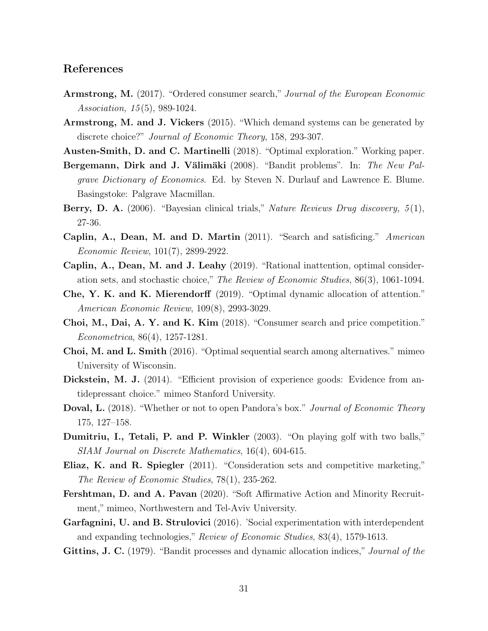# References

- <span id="page-32-5"></span>Armstrong, M. (2017). "Ordered consumer search," Journal of the European Economic Association, 15 (5), 989-1024.
- <span id="page-32-4"></span>Armstrong, M. and J. Vickers (2015). "Which demand systems can be generated by discrete choice?" Journal of Economic Theory, 158, 293-307.
- <span id="page-32-7"></span>Austen-Smith, D. and C. Martinelli (2018). "Optimal exploration." Working paper.
- <span id="page-32-0"></span>Bergemann, Dirk and J. Välimäki (2008). "Bandit problems". In: The New Palgrave Dictionary of Economics. Ed. by Steven N. Durlauf and Lawrence E. Blume. Basingstoke: Palgrave Macmillan.
- <span id="page-32-2"></span>**Berry, D. A.** (2006). "Bayesian clinical trials," Nature Reviews Drug discovery,  $5(1)$ , 27-36.
- Caplin, A., Dean, M. and D. Martin (2011). "Search and satisficing." American Economic Review, 101(7), 2899-2922.
- Caplin, A., Dean, M. and J. Leahy (2019). "Rational inattention, optimal consideration sets, and stochastic choice," The Review of Economic Studies, 86(3), 1061-1094.
- <span id="page-32-8"></span>Che, Y. K. and K. Mierendorff (2019). "Optimal dynamic allocation of attention." American Economic Review, 109(8), 2993-3029.
- <span id="page-32-3"></span>Choi, M., Dai, A. Y. and K. Kim (2018). "Consumer search and price competition." Econometrica, 86(4), 1257-1281.
- <span id="page-32-11"></span>Choi, M. and L. Smith (2016). "Optimal sequential search among alternatives." mimeo University of Wisconsin.
- <span id="page-32-1"></span>Dickstein, M. J. (2014). "Efficient provision of experience goods: Evidence from antidepressant choice." mimeo Stanford University.
- <span id="page-32-12"></span>Doval, L. (2018). "Whether or not to open Pandora's box." Journal of Economic Theory 175, 127–158.
- <span id="page-32-14"></span>Dumitriu, I., Tetali, P. and P. Winkler (2003). "On playing golf with two balls," SIAM Journal on Discrete Mathematics, 16(4), 604-615.
- <span id="page-32-6"></span>Eliaz, K. and R. Spiegler (2011). "Consideration sets and competitive marketing," The Review of Economic Studies, 78(1), 235-262.
- <span id="page-32-10"></span>Fershtman, D. and A. Pavan (2020). "Soft Affirmative Action and Minority Recruitment," mimeo, Northwestern and Tel-Aviv University.
- <span id="page-32-9"></span>Garfagnini, U. and B. Strulovici (2016). 'Social experimentation with interdependent and expanding technologies," Review of Economic Studies, 83(4), 1579-1613.
- <span id="page-32-13"></span>Gittins, J. C. (1979). "Bandit processes and dynamic allocation indices," Journal of the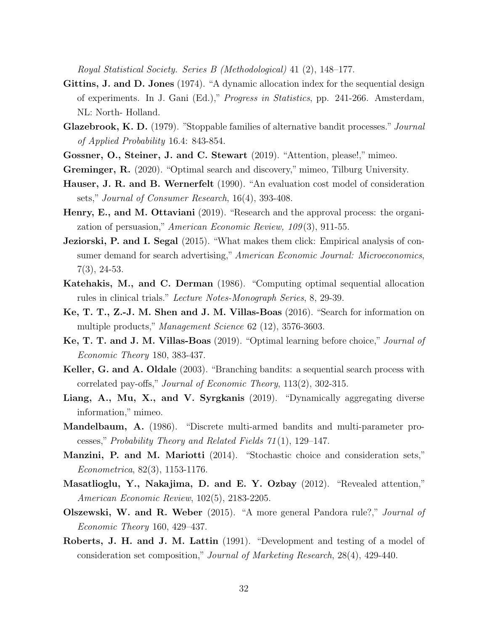Royal Statistical Society. Series B (Methodological) 41 (2), 148–177.

- <span id="page-33-0"></span>Gittins, J. and D. Jones (1974). "A dynamic allocation index for the sequential design of experiments. In J. Gani (Ed.)," Progress in Statistics, pp. 241-266. Amsterdam, NL: North- Holland.
- <span id="page-33-16"></span>Glazebrook, K. D. (1979). "Stoppable families of alternative bandit processes." Journal of Applied Probability 16.4: 843-854.
- <span id="page-33-8"></span>Gossner, O., Steiner, J. and C. Stewart (2019). "Attention, please!," mimeo.
- <span id="page-33-11"></span>Greminger, R. (2020). "Optimal search and discovery," mimeo, Tilburg University.
- <span id="page-33-4"></span>Hauser, J. R. and B. Wernerfelt (1990). "An evaluation cost model of consideration sets," Journal of Consumer Research, 16(4), 393-408.
- <span id="page-33-10"></span>Henry, E., and M. Ottaviani (2019). "Research and the approval process: the organization of persuasion," American Economic Review, 109(3), 911-55.
- <span id="page-33-15"></span>**Jeziorski, P. and I. Segal** (2015). "What makes them click: Empirical analysis of consumer demand for search advertising," American Economic Journal: Microeconomics, 7(3), 24-53.
- <span id="page-33-1"></span>Katehakis, M., and C. Derman (1986). "Computing optimal sequential allocation rules in clinical trials." Lecture Notes-Monograph Series, 8, 29-39.
- <span id="page-33-6"></span>Ke, T. T., Z.-J. M. Shen and J. M. Villas-Boas (2016). "Search for information on multiple products," Management Science 62 (12), 3576-3603.
- <span id="page-33-7"></span>Ke, T. T. and J. M. Villas-Boas (2019). "Optimal learning before choice," Journal of Economic Theory 180, 383-437.
- <span id="page-33-12"></span>Keller, G. and A. Oldale (2003). "Branching bandits: a sequential search process with correlated pay-offs," Journal of Economic Theory, 113(2), 302-315.
- <span id="page-33-9"></span>Liang, A., Mu, X., and V. Syrgkanis (2019). "Dynamically aggregating diverse information," mimeo.
- <span id="page-33-14"></span>Mandelbaum, A. (1986). "Discrete multi-armed bandits and multi-parameter processes," Probability Theory and Related Fields 71 (1), 129–147.
- <span id="page-33-3"></span>Manzini, P. and M. Mariotti (2014). "Stochastic choice and consideration sets," Econometrica, 82(3), 1153-1176.
- <span id="page-33-2"></span>Masatlioglu, Y., Nakajima, D. and E. Y. Ozbay (2012). "Revealed attention," American Economic Review, 102(5), 2183-2205.
- <span id="page-33-13"></span>Olszewski, W. and R. Weber (2015). "A more general Pandora rule?," Journal of Economic Theory 160, 429–437.
- <span id="page-33-5"></span>Roberts, J. H. and J. M. Lattin (1991). "Development and testing of a model of consideration set composition," Journal of Marketing Research, 28(4), 429-440.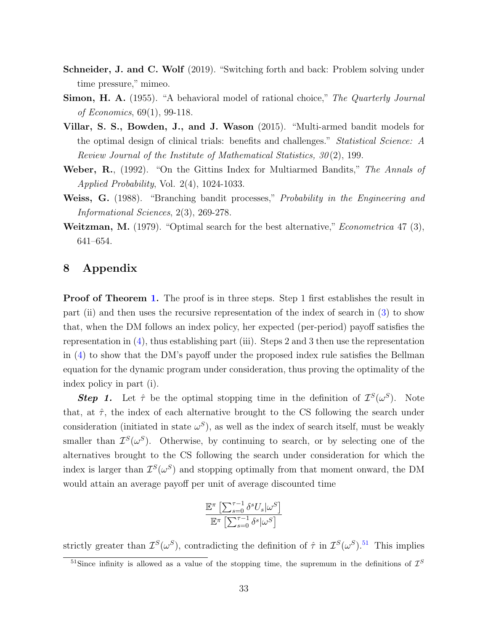- <span id="page-34-3"></span>Schneider, J. and C. Wolf (2019). "Switching forth and back: Problem solving under time pressure," mimeo.
- <span id="page-34-2"></span>Simon, H. A. (1955). "A behavioral model of rational choice," The Quarterly Journal of Economics, 69(1), 99-118.
- <span id="page-34-0"></span>Villar, S. S., Bowden, J., and J. Wason (2015). "Multi-armed bandit models for the optimal design of clinical trials: benefits and challenges." Statistical Science: A Review Journal of the Institute of Mathematical Statistics, 30 (2), 199.
- <span id="page-34-5"></span>Weber, R., (1992). "On the Gittins Index for Multiarmed Bandits," The Annals of Applied Probability, Vol. 2(4), 1024-1033.
- <span id="page-34-4"></span>Weiss, G. (1988). "Branching bandit processes," Probability in the Engineering and Informational Sciences, 2(3), 269-278.
- <span id="page-34-1"></span>**Weitzman, M.** (1979). "Optimal search for the best alternative," *Econometrica* 47 (3), 641–654.

# 8 Appendix

**Proof of Theorem [1.](#page-13-4)** The proof is in three steps. Step 1 first establishes the result in part (ii) and then uses the recursive representation of the index of search in [\(3\)](#page-13-5) to show that, when the DM follows an index policy, her expected (per-period) payoff satisfies the representation in  $(4)$ , thus establishing part (iii). Steps 2 and 3 then use the representation in [\(4\)](#page-14-1) to show that the DM's payoff under the proposed index rule satisfies the Bellman equation for the dynamic program under consideration, thus proving the optimality of the index policy in part (i).

**Step 1.** Let  $\hat{\tau}$  be the optimal stopping time in the definition of  $\mathcal{I}^S(\omega^S)$ . Note that, at  $\hat{\tau}$ , the index of each alternative brought to the CS following the search under consideration (initiated in state  $\omega^S$ ), as well as the index of search itself, must be weakly smaller than  $\mathcal{I}^S(\omega^S)$ . Otherwise, by continuing to search, or by selecting one of the alternatives brought to the CS following the search under consideration for which the index is larger than  $\mathcal{I}^S(\omega^S)$  and stopping optimally from that moment onward, the DM would attain an average payoff per unit of average discounted time

$$
\frac{\mathbb{E}^\pi \left[\sum_{s=0}^{\tau-1} \delta^s U_s | \omega^S \right]}{\mathbb{E}^\pi \left[\sum_{s=0}^{\tau-1} \delta^s | \omega^S \right]}
$$

strictly greater than  $\mathcal{I}^S(\omega^S)$ , contradicting the definition of  $\hat{\tau}$  in  $\mathcal{I}^S(\omega^S)$ .<sup>[51](#page-34-6)</sup> This implies

<span id="page-34-6"></span><sup>&</sup>lt;sup>51</sup>Since infinity is allowed as a value of the stopping time, the supremum in the definitions of  $\mathcal{I}^S$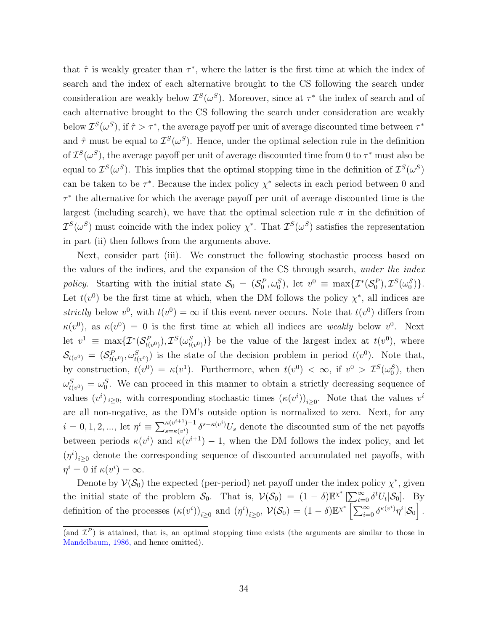that  $\hat{\tau}$  is weakly greater than  $\tau^*$ , where the latter is the first time at which the index of search and the index of each alternative brought to the CS following the search under consideration are weakly below  $\mathcal{I}^S(\omega^S)$ . Moreover, since at  $\tau^*$  the index of search and of each alternative brought to the CS following the search under consideration are weakly below  $\mathcal{I}^S(\omega^S)$ , if  $\hat{\tau} > \tau^*$ , the average payoff per unit of average discounted time between  $\tau^*$ and  $\hat{\tau}$  must be equal to  $\mathcal{I}^S(\omega^S)$ . Hence, under the optimal selection rule in the definition of  $\mathcal{I}^{S}(\omega^{S})$ , the average payoff per unit of average discounted time from 0 to  $\tau^*$  must also be equal to  $\mathcal{I}^S(\omega^S)$ . This implies that the optimal stopping time in the definition of  $\mathcal{I}^S(\omega^S)$ can be taken to be  $\tau^*$ . Because the index policy  $\chi^*$  selects in each period between 0 and τ ∗ the alternative for which the average payoff per unit of average discounted time is the largest (including search), we have that the optimal selection rule  $\pi$  in the definition of  $\mathcal{I}^S(\omega^S)$  must coincide with the index policy  $\chi^*$ . That  $\mathcal{I}^S(\omega^S)$  satisfies the representation in part (ii) then follows from the arguments above.

Next, consider part (iii). We construct the following stochastic process based on the values of the indices, and the expansion of the CS through search, under the index policy. Starting with the initial state  $S_0 = (S_0^P, \omega_0^S)$ , let  $v^0 \equiv \max\{T^*(S_0^P), T^S(\omega_0^S)\}.$ Let  $t(v^0)$  be the first time at which, when the DM follows the policy  $\chi^*$ , all indices are strictly below  $v^0$ , with  $t(v^0) = \infty$  if this event never occurs. Note that  $t(v^0)$  differs from  $\kappa(v^0)$ , as  $\kappa(v^0) = 0$  is the first time at which all indices are *weakly* below  $v^0$ . Next let  $v^1 \equiv \max\{ \mathcal{I}^*(\mathcal{S}^F_{t})\}$  $(\mathcal{L}_{t(v^0)}^P), \mathcal{I}^S(\omega_{t(v^S)}^S)$  $t_{(v^0)}$ } be the value of the largest index at  $t(v^0)$ , where  $\mathcal{S}_{t(v^0)} \,=\, (\mathcal{S}_{t(t^0)}^P \,$  $(t_{t(v)}^{P}, \omega_{t(v)}^{S})$  is the state of the decision problem in period  $t(v^{0})$ . Note that, by construction,  $t(v^0) = \kappa(v^1)$ . Furthermore, when  $t(v^0) < \infty$ , if  $v^0 > \mathcal{I}^S(\omega_0^S)$ , then  $\omega_{\scriptscriptstyle {\it H}}^S$  $t_{(v^0)}^S = \omega_0^S$ . We can proceed in this manner to obtain a strictly decreasing sequence of values  $(v^i)_{i\geq 0}$ , with corresponding stochastic times  $(\kappa(v^i))_{i\geq 0}$ . Note that the values  $v^i$ are all non-negative, as the DM's outside option is normalized to zero. Next, for any  $i = 0, 1, 2, ..., \text{ let } \eta^{i} \equiv \sum_{s=\kappa(\eta^{i})}^{\kappa(\nu^{i+1})-1}$  $\sum_{s=\kappa(v^i)}^{\kappa(v^{i+1})-1} \delta^{s-\kappa(v^i)} U_s$  denote the discounted sum of the net payoffs between periods  $\kappa(v^i)$  and  $\kappa(v^{i+1}) - 1$ , when the DM follows the index policy, and let  $(\eta^i)_{i\geq 0}$  denote the corresponding sequence of discounted accumulated net payoffs, with  $\eta^i = 0$  if  $\kappa(v^i) = \infty$ .

Denote by  $\mathcal{V}(\mathcal{S}_0)$  the expected (per-period) net payoff under the index policy  $\chi^*$ , given the initial state of the problem  $S_0$ . That is,  $V(S_0) = (1 - \delta) \mathbb{E}^{\chi^*} \left[ \sum_{t=0}^{\infty} \delta^t U_t | S_0 \right]$ . By definition of the processes  $(\kappa(v^i))_{i\geq 0}$  and  $(\eta^i)_{i\geq 0}$ ,  $\mathcal{V}(\mathcal{S}_0) = (1-\delta)\mathbb{E}^{\chi^*} \left[\sum_{i=0}^{\infty} \delta^{\kappa(v^i)} \eta^i \vert \mathcal{S}_0\right]$ .

<sup>(</sup>and  $\mathcal{I}^P$ ) is attained, that is, an optimal stopping time exists (the arguments are similar to those in [Mandelbaum, 1986,](#page-33-14) and hence omitted).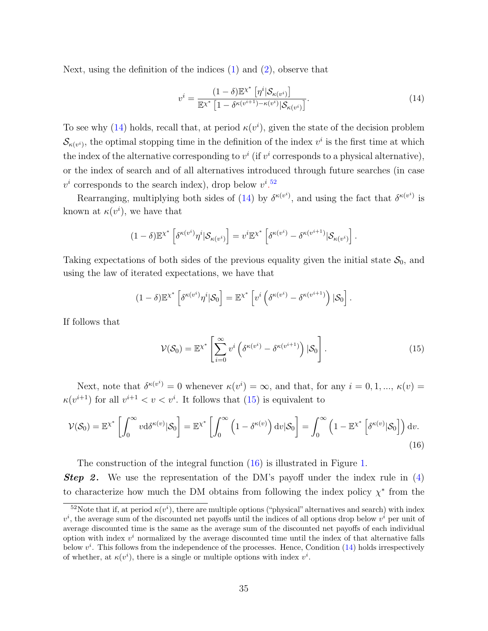Next, using the definition of the indices  $(1)$  and  $(2)$ , observe that

<span id="page-36-0"></span>
$$
v^{i} = \frac{(1-\delta)\mathbb{E}^{\chi^{*}}\left[\eta^{i}|\mathcal{S}_{\kappa(v^{i})}\right]}{\mathbb{E}^{\chi^{*}}\left[1-\delta^{\kappa(v^{i+1})-\kappa(v^{i})}|\mathcal{S}_{\kappa(v^{i})}\right]}.
$$
\n(14)

To see why [\(14\)](#page-36-0) holds, recall that, at period  $\kappa(v^i)$ , given the state of the decision problem  $\mathcal{S}_{\kappa(v^i)}$ , the optimal stopping time in the definition of the index  $v^i$  is the first time at which the index of the alternative corresponding to  $v^i$  (if  $v^i$  corresponds to a physical alternative), or the index of search and of all alternatives introduced through future searches (in case  $v^i$  corresponds to the search index), drop below  $v^i$ .<sup>[52](#page-36-1)</sup>

Rearranging, multiplying both sides of [\(14\)](#page-36-0) by  $\delta^{\kappa(v^i)}$ , and using the fact that  $\delta^{\kappa(v^i)}$  is known at  $\kappa(v^i)$ , we have that

$$
(1-\delta)\mathbb{E}^{\chi^*}\left[\delta^{\kappa(v^i)}\eta^i|\mathcal{S}_{\kappa(v^i)}\right] = v^i\mathbb{E}^{\chi^*}\left[\delta^{\kappa(v^i)}-\delta^{\kappa(v^{i+1})}|\mathcal{S}_{\kappa(v^i)}\right].
$$

Taking expectations of both sides of the previous equality given the initial state  $S_0$ , and using the law of iterated expectations, we have that

$$
(1-\delta)\mathbb{E}^{\chi^*}\left[\delta^{\kappa(v^i)}\eta^i|\mathcal{S}_0\right] = \mathbb{E}^{\chi^*}\left[v^i\left(\delta^{\kappa(v^i)}-\delta^{\kappa(v^{i+1})}\right)|\mathcal{S}_0\right].
$$

If follows that

<span id="page-36-3"></span><span id="page-36-2"></span>
$$
\mathcal{V}(\mathcal{S}_0) = \mathbb{E}^{\chi^*} \left[ \sum_{i=0}^{\infty} v^i \left( \delta^{\kappa(v^i)} - \delta^{\kappa(v^{i+1})} \right) | \mathcal{S}_0 \right]. \tag{15}
$$

Next, note that  $\delta^{\kappa(v^i)} = 0$  whenever  $\kappa(v^i) = \infty$ , and that, for any  $i = 0, 1, ..., \kappa(v) =$  $\kappa(v^{i+1})$  for all  $v^{i+1} < v < v^i$ . It follows that [\(15\)](#page-36-2) is equivalent to

$$
\mathcal{V}(\mathcal{S}_0) = \mathbb{E}^{\chi^*} \left[ \int_0^\infty v \mathrm{d}\delta^{\kappa(v)} |\mathcal{S}_0 \right] = \mathbb{E}^{\chi^*} \left[ \int_0^\infty \left( 1 - \delta^{\kappa(v)} \right) \mathrm{d}v |\mathcal{S}_0 \right] = \int_0^\infty \left( 1 - \mathbb{E}^{\chi^*} \left[ \delta^{\kappa(v)} |\mathcal{S}_0 \right] \right) \mathrm{d}v. \tag{16}
$$

The construction of the integral function [\(16\)](#page-36-3) is illustrated in Figure [1.](#page-37-0) **Step 2.** We use the representation of the DM's payoff under the index rule in  $(4)$ to characterize how much the DM obtains from following the index policy  $\chi^*$  from the

<span id="page-36-1"></span><sup>&</sup>lt;sup>52</sup>Note that if, at period  $\kappa(v^i)$ , there are multiple options ("physical" alternatives and search) with index  $v^i$ , the average sum of the discounted net payoffs until the indices of all options drop below  $v^i$  per unit of average discounted time is the same as the average sum of the discounted net payoffs of each individual option with index  $v^i$  normalized by the average discounted time until the index of that alternative falls below  $v^i$ . This follows from the independence of the processes. Hence, Condition  $(14)$  holds irrespectively of whether, at  $\kappa(v^i)$ , there is a single or multiple options with index  $v^i$ .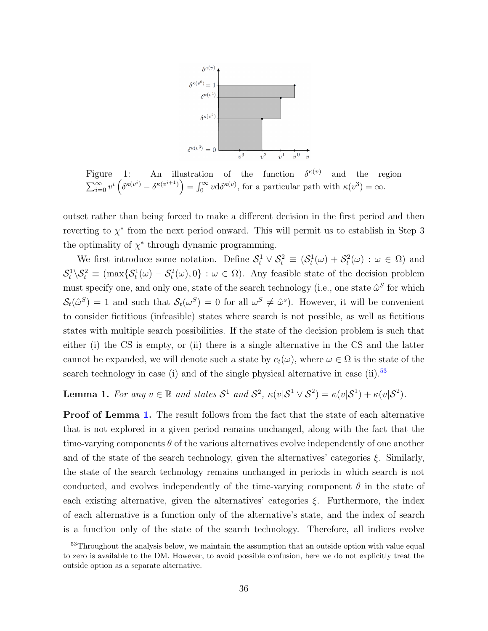

<span id="page-37-0"></span>Figure 1: An illustration of the function  $\delta^{\kappa(v)}$  and the region  $\sum_{i=0}^{\infty} v^i \left( \delta^{\kappa(v^i)} - \delta^{\kappa(v^{i+1})} \right) = \int_0^{\infty} v \mathrm{d} \delta^{\kappa(v)},$  for a particular path with  $\kappa(v^3) = \infty$ .

outset rather than being forced to make a different decision in the first period and then reverting to  $\chi^*$  from the next period onward. This will permit us to establish in Step 3 the optimality of  $\chi^*$  through dynamic programming.

We first introduce some notation. Define  $S_t^1 \vee S_t^2 \equiv (S_t^1(\omega) + S_t^2(\omega) : \omega \in \Omega)$  and  $\mathcal{S}_t^1 \backslash \mathcal{S}_t^2 \equiv (\max \{ \mathcal{S}_t^1(\omega) - \mathcal{S}_t^2(\omega), 0 \} : \omega \in \Omega)$ . Any feasible state of the decision problem must specify one, and only one, state of the search technology (i.e., one state  $\hat{\omega}^S$  for which  $\mathcal{S}_t(\hat{\omega}^S) = 1$  and such that  $\mathcal{S}_t(\omega^S) = 0$  for all  $\omega^S \neq \hat{\omega}^s$ . However, it will be convenient to consider fictitious (infeasible) states where search is not possible, as well as fictitious states with multiple search possibilities. If the state of the decision problem is such that either (i) the CS is empty, or (ii) there is a single alternative in the CS and the latter cannot be expanded, we will denote such a state by  $e_t(\omega)$ , where  $\omega \in \Omega$  is the state of the search technology in case (i) and of the single physical alternative in case (ii).<sup>[53](#page-37-1)</sup>

<span id="page-37-2"></span>**Lemma 1.** For any  $v \in \mathbb{R}$  and states  $S^1$  and  $S^2$ ,  $\kappa(v|S^1 \vee S^2) = \kappa(v|S^1) + \kappa(v|S^2)$ .

**Proof of Lemma [1.](#page-37-2)** The result follows from the fact that the state of each alternative that is not explored in a given period remains unchanged, along with the fact that the time-varying components  $\theta$  of the various alternatives evolve independently of one another and of the state of the search technology, given the alternatives' categories  $\xi$ . Similarly, the state of the search technology remains unchanged in periods in which search is not conducted, and evolves independently of the time-varying component  $\theta$  in the state of each existing alternative, given the alternatives' categories  $\xi$ . Furthermore, the index of each alternative is a function only of the alternative's state, and the index of search is a function only of the state of the search technology. Therefore, all indices evolve

<span id="page-37-1"></span><sup>&</sup>lt;sup>53</sup>Throughout the analysis below, we maintain the assumption that an outside option with value equal to zero is available to the DM. However, to avoid possible confusion, here we do not explicitly treat the outside option as a separate alternative.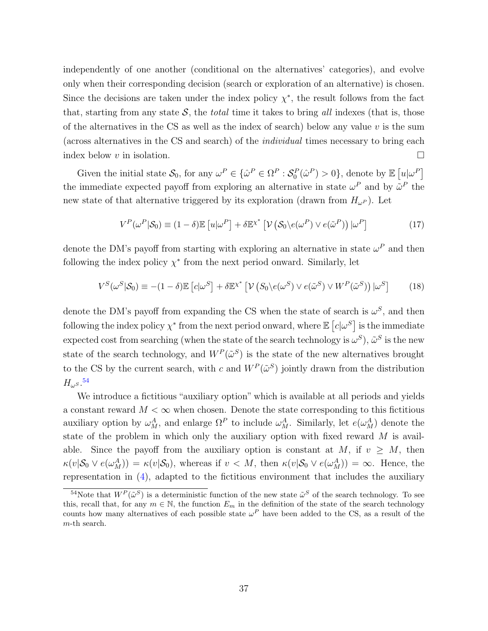independently of one another (conditional on the alternatives' categories), and evolve only when their corresponding decision (search or exploration of an alternative) is chosen. Since the decisions are taken under the index policy  $\chi^*$ , the result follows from the fact that, starting from any state  $S$ , the *total* time it takes to bring all indexes (that is, those of the alternatives in the CS as well as the index of search) below any value  $v$  is the sum (across alternatives in the CS and search) of the individual times necessary to bring each index below v in isolation.  $\square$ 

Given the initial state  $S_0$ , for any  $\omega^P \in {\{\hat{\omega}^P \in \Omega^P : S_0^P(\hat{\omega}^P) > 0\}}$ , denote by  $\mathbb{E} [u | \omega^P]$ the immediate expected payoff from exploring an alternative in state  $\omega^P$  and by  $\tilde{\omega}^P$  the new state of that alternative triggered by its exploration (drawn from  $H_{\omega}$ <sup>p</sup>). Let

<span id="page-38-2"></span><span id="page-38-1"></span>
$$
V^{P}(\omega^{P}|\mathcal{S}_{0}) \equiv (1-\delta)\mathbb{E}\left[u|\omega^{P}\right] + \delta\mathbb{E}^{\chi^{*}}\left[\mathcal{V}\left(\mathcal{S}_{0}\backslash e(\omega^{P})\vee e(\tilde{\omega}^{P})\right)|\omega^{P}\right]
$$
(17)

denote the DM's payoff from starting with exploring an alternative in state  $\omega^P$  and then following the index policy  $\chi^*$  from the next period onward. Similarly, let

$$
V^S(\omega^S|\mathcal{S}_0) \equiv -(1-\delta)\mathbb{E}\left[c|\omega^S\right] + \delta\mathbb{E}^{\chi^*}\left[\mathcal{V}\left(S_0\backslash e(\omega^S) \vee e(\tilde{\omega}^S) \vee W^P(\tilde{\omega}^S)\right)|\omega^S\right] \tag{18}
$$

denote the DM's payoff from expanding the CS when the state of search is  $\omega^S$ , and then following the index policy  $\chi^*$  from the next period onward, where  $\mathbb{E}\left[c|\omega^S\right]$  is the immediate expected cost from searching (when the state of the search technology is  $\omega^S$ ),  $\tilde{\omega}^S$  is the new state of the search technology, and  $W^P(\tilde{\omega}^S)$  is the state of the new alternatives brought to the CS by the current search, with c and  $W^P(\tilde{\omega}^S)$  jointly drawn from the distribution  $H_\omega s.$ <sup>[54](#page-38-0)</sup>

We introduce a fictitious "auxiliary option" which is available at all periods and yields a constant reward  $M < \infty$  when chosen. Denote the state corresponding to this fictitious auxiliary option by  $\omega_M^A$ , and enlarge  $\Omega^P$  to include  $\omega_M^A$ . Similarly, let  $e(\omega_M^A)$  denote the state of the problem in which only the auxiliary option with fixed reward M is available. Since the payoff from the auxiliary option is constant at M, if  $v \geq M$ , then  $\kappa(v|\mathcal{S}_0 \vee e(\omega_M^A)) = \kappa(v|\mathcal{S}_0)$ , whereas if  $v < M$ , then  $\kappa(v|\mathcal{S}_0 \vee e(\omega_M^A)) = \infty$ . Hence, the representation in [\(4\)](#page-14-1), adapted to the fictitious environment that includes the auxiliary

<span id="page-38-0"></span><sup>&</sup>lt;sup>54</sup>Note that  $W^P(\tilde{\omega}^S)$  is a deterministic function of the new state  $\tilde{\omega}^S$  of the search technology. To see this, recall that, for any  $m \in \mathbb{N}$ , the function  $E_m$  in the definition of the state of the search technology counts how many alternatives of each possible state  $\omega^P$  have been added to the CS, as a result of the m-th search.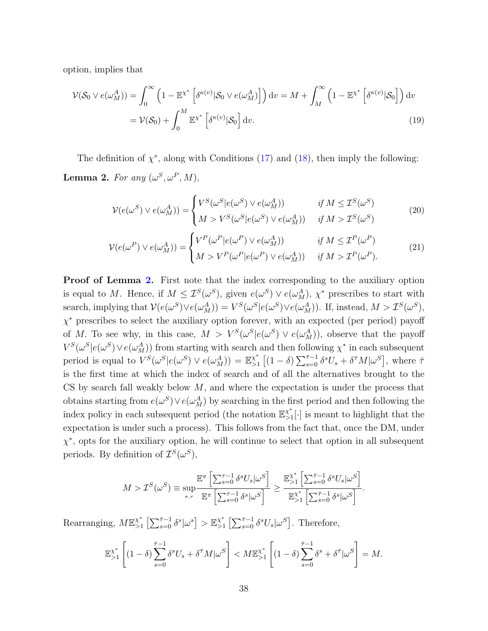option, implies that

$$
\mathcal{V}(\mathcal{S}_0 \vee e(\omega_M^A)) = \int_0^\infty \left(1 - \mathbb{E}^{\chi^*} \left[ \delta^{\kappa(v)} |\mathcal{S}_0 \vee e(\omega_M^A) \right] \right) dv = M + \int_M^\infty \left(1 - \mathbb{E}^{\chi^*} \left[ \delta^{\kappa(v)} |\mathcal{S}_0 \right] \right) dv
$$

$$
= \mathcal{V}(\mathcal{S}_0) + \int_0^M \mathbb{E}^{\chi^*} \left[ \delta^{\kappa(v)} |\mathcal{S}_0 \right] dv. \tag{19}
$$

<span id="page-39-0"></span>The definition of  $\chi^*$ , along with Conditions [\(17\)](#page-38-1) and [\(18\)](#page-38-2), then imply the following: **Lemma 2.** For any  $(\omega^S, \omega^P, M)$ ,

<span id="page-39-3"></span><span id="page-39-2"></span><span id="page-39-1"></span>
$$
\mathcal{V}(e(\omega^S) \vee e(\omega^A_M)) = \begin{cases} V^S(\omega^S | e(\omega^S) \vee e(\omega^A_M)) & \text{if } M \leq \mathcal{I}^S(\omega^S) \\ M > V^S(\omega^S | e(\omega^S) \vee e(\omega^A_M)) & \text{if } M > \mathcal{I}^S(\omega^S) \end{cases}
$$
(20)

$$
\mathcal{V}(e(\omega^P) \vee e(\omega^A_M)) = \begin{cases} V^P(\omega^P | e(\omega^P) \vee e(\omega^A_M)) & \text{if } M \le \mathcal{I}^P(\omega^P) \\ M > V^P(\omega^P | e(\omega^P) \vee e(\omega^A_M)) & \text{if } M > \mathcal{I}^P(\omega^P). \end{cases}
$$
(21)

Proof of Lemma [2.](#page-39-0) First note that the index corresponding to the auxiliary option is equal to M. Hence, if  $M \leq \mathcal{I}^S(\omega^S)$ , given  $e(\omega^S) \vee e(\omega^A_M)$ ,  $\chi^*$  prescribes to start with search, implying that  $\mathcal{V}(e(\omega^S) \vee e(\omega^A_M)) = V^S(\omega^S | e(\omega^S) \vee e(\omega^A_M))$ . If, instead,  $M > \mathcal{I}^S(\omega^S)$ , χ <sup>∗</sup> prescribes to select the auxiliary option forever, with an expected (per period) payoff of M. To see why, in this case,  $M > V^S(\omega^S | e(\omega^S) \vee e(\omega^A_M))$ , observe that the payoff  $V^S(\omega^S | e(\omega^S) \vee e(\omega^A_M))$  from starting with search and then following  $\chi^*$  in each subsequent period is equal to  $V^S(\omega^S | e(\omega^S) \vee e(\omega^A_M)) = \mathbb{E}_{>1}^{\chi^*}$  $\sum_{s=0}^{x^*} [(1-\delta) \sum_{s=0}^{\bar{\tau}-1} \delta^s U_s + \delta^{\bar{\tau}} M |\omega^S],$  where  $\bar{\tau}$ is the first time at which the index of search and of all the alternatives brought to the CS by search fall weakly below  $M$ , and where the expectation is under the process that obtains starting from  $e(\omega^S) \vee e(\omega^A_M)$  by searching in the first period and then following the index policy in each subsequent period (the notation  $\mathbb{E}_{>1}^{\chi^*}$  $\chi^*_{>1}[\cdot]$  is meant to highlight that the expectation is under such a process). This follows from the fact that, once the DM, under  $\chi^*$ , opts for the auxiliary option, he will continue to select that option in all subsequent periods. By definition of  $\mathcal{I}^S(\omega^S)$ ,

$$
M > \mathcal{I}^S(\omega^S) \equiv \sup_{\pi,\tau} \frac{\mathbb{E}^\pi \left[ \sum_{s=0}^{\tau-1} \delta^s U_s | \omega^S \right]}{\mathbb{E}^\pi \left[ \sum_{s=0}^{\tau-1} \delta^s | \omega^S \right]} \ge \frac{\mathbb{E}^{\chi^*}_{>1} \left[ \sum_{s=0}^{\bar{\tau}-1} \delta^s U_s | \omega^S \right]}{\mathbb{E}^{\chi^*}_{>1} \left[ \sum_{s=0}^{\bar{\tau}-1} \delta^s | \omega^S \right]}.
$$

Rearranging,  $M\mathbb{E}_{>1}^{\chi^*}$  $\sum_{s=0}^{\chi^*} \left[ \sum_{s=0}^{\bar{\tau}-1} \delta^s |\omega^s \right] > \mathbb{E}_{>1}^{\chi^*}$  $\chi^*$   $\left[\sum_{s=0}^{\bar{\tau}-1} \delta^s U_s | \omega^S\right]$ . Therefore,

$$
\mathbb{E}_{>1}^{\chi^*} \left[ (1-\delta) \sum_{s=0}^{\bar{\tau}-1} \delta^s U_s + \delta^{\bar{\tau}} M |\omega^S \right] < M \mathbb{E}_{>1}^{\chi^*} \left[ (1-\delta) \sum_{s=0}^{\bar{\tau}-1} \delta^s + \delta^{\bar{\tau}} |\omega^S \right] = M.
$$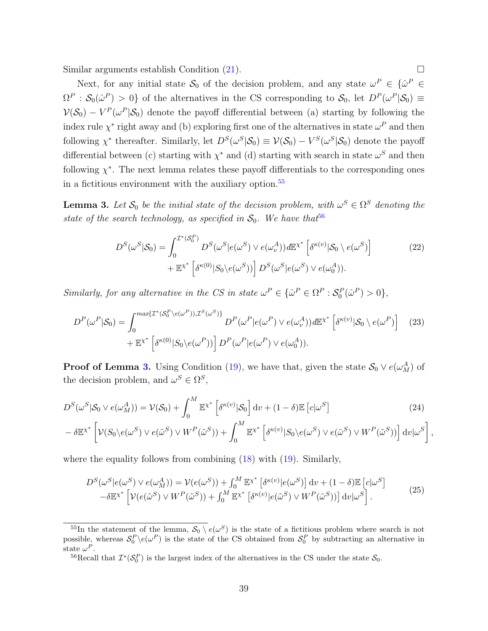Similar arguments establish Condition  $(21)$ .

Next, for any initial state  $S_0$  of the decision problem, and any state  $\omega^P \in {\{\hat{\omega}^P \in \mathcal{S}_0\}}$  $\Omega^P : \mathcal{S}_0(\hat{\omega}^P) > 0$  of the alternatives in the CS corresponding to  $\mathcal{S}_0$ , let  $D^P(\omega^P|\mathcal{S}_0) \equiv$  $V(S_0) - V^P(\omega^P | S_0)$  denote the payoff differential between (a) starting by following the index rule  $\chi^*$  right away and (b) exploring first one of the alternatives in state  $\omega^P$  and then following  $\chi^*$  thereafter. Similarly, let  $D^S(\omega^S|\mathcal{S}_0) \equiv \mathcal{V}(\mathcal{S}_0) - V^S(\omega^S|\mathcal{S}_0)$  denote the payoff differential between (c) starting with  $\chi^*$  and (d) starting with search in state  $\omega^S$  and then following  $\chi^*$ . The next lemma relates these payoff differentials to the corresponding ones in a fictitious environment with the auxiliary option.<sup>[55](#page-40-0)</sup>

<span id="page-40-2"></span>**Lemma 3.** Let  $\mathcal{S}_0$  be the initial state of the decision problem, with  $\omega^S \in \Omega^S$  denoting the state of the search technology, as specified in  $S_0$ . We have that<sup>[56](#page-40-1)</sup>

$$
D^{S}(\omega^{S}|S_{0}) = \int_{0}^{\mathcal{I}^{*}(S_{0}^{P})} D^{S}(\omega^{S}|e(\omega^{S}) \vee e(\omega_{v}^{A})) d\mathbb{E}^{\chi^{*}} \left[\delta^{\kappa(v)}|S_{0} \setminus e(\omega^{S})\right] + \mathbb{E}^{\chi^{*}} \left[\delta^{\kappa(0)}|S_{0} \setminus e(\omega^{S})\right] D^{S}(\omega^{S}|e(\omega^{S}) \vee e(\omega_{0}^{A})).
$$
\n(22)

Similarly, for any alternative in the CS in state  $\omega^P \in {\{\hat{\omega}^P \in \Omega^P : \mathcal{S}_0^P(\hat{\omega}^P) > 0\}},$ 

$$
D^{P}(\omega^{P}|\mathcal{S}_{0}) = \int_{0}^{\max\{\mathcal{I}^{*}(\mathcal{S}_{0}^{P}\backslash e(\omega^{P})),\mathcal{I}^{S}(\omega^{S})\}} D^{P}(\omega^{P}|e(\omega^{P}) \vee e(\omega_{v}^{A})) d\mathbb{E}^{\chi^{*}} \left[\delta^{\kappa(v)}|\mathcal{S}_{0} \setminus e(\omega^{P})\right] \tag{23}
$$

$$
+ \mathbb{E}^{\chi^{*}} \left[\delta^{\kappa(0)}|S_{0} \setminus e(\omega^{P})\right] D^{P}(\omega^{P}|e(\omega^{P}) \vee e(\omega_{0}^{A})).
$$

**Proof of Lemma [3.](#page-40-2)** Using Condition [\(19\)](#page-39-2), we have that, given the state  $\mathcal{S}_0 \vee e(\omega_M^A)$  of the decision problem, and  $\omega^S \in \Omega^S$ ,

$$
D^{S}(\omega^{S}|S_{0} \vee e(\omega^{A}_{M})) = \mathcal{V}(S_{0}) + \int_{0}^{M} \mathbb{E}^{x^{*}} \left[ \delta^{\kappa(v)}|S_{0} \right] dv + (1 - \delta) \mathbb{E} \left[ c|\omega^{S} \right]
$$
(24)  
-  $\delta \mathbb{E}^{x^{*}} \left[ \mathcal{V}(S_{0} \setminus e(\omega^{S}) \vee e(\tilde{\omega}^{S}) \vee W^{P}(\tilde{\omega}^{S})) + \int_{0}^{M} \mathbb{E}^{x^{*}} \left[ \delta^{\kappa(v)}|S_{0} \setminus e(\omega^{S}) \vee e(\tilde{\omega}^{S}) \vee W^{P}(\tilde{\omega}^{S}) \right] dv |\omega^{S} \right]$ 

<span id="page-40-6"></span><span id="page-40-5"></span><span id="page-40-4"></span><span id="page-40-3"></span>,

where the equality follows from combining  $(18)$  with  $(19)$ . Similarly,

$$
D^{S}(\omega^{S}|e(\omega^{S}) \vee e(\omega^{A}_{M})) = \mathcal{V}(e(\omega^{S})) + \int_{0}^{M} \mathbb{E}x^{*} \left[\delta^{\kappa(v)}|e(\omega^{S})\right] dv + (1 - \delta)\mathbb{E}\left[c|\omega^{S}\right] -\delta\mathbb{E}x^{*} \left[\mathcal{V}(e(\tilde{\omega}^{S}) \vee W^{P}(\tilde{\omega}^{S})) + \int_{0}^{M} \mathbb{E}x^{*} \left[\delta^{\kappa(v)}|e(\tilde{\omega}^{S}) \vee W^{P}(\tilde{\omega}^{S})\right]\right] dv |\omega^{S}.
$$
\n(25)

<span id="page-40-0"></span><sup>&</sup>lt;sup>55</sup>In the statement of the lemma,  $S_0 \setminus e(\omega^S)$  is the state of a fictitious problem where search is not possible, whereas  $S_0^P \setminus e(\omega^P)$  is the state of the CS obtained from  $S_0^P$  by subtracting an alternative in state  $\omega^P$ .

<span id="page-40-1"></span><sup>&</sup>lt;sup>56</sup>Recall that  $\mathcal{I}^*(\mathcal{S}_0^P)$  is the largest index of the alternatives in the CS under the state  $\mathcal{S}_0$ .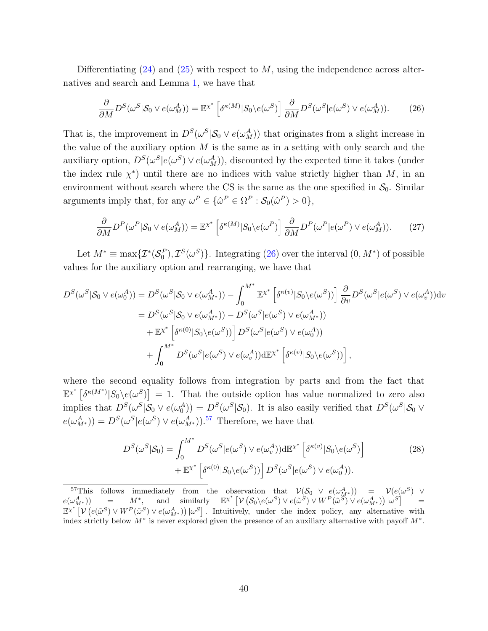Differentiating  $(24)$  and  $(25)$  with respect to M, using the independence across alternatives and search and Lemma [1,](#page-37-2) we have that

<span id="page-41-0"></span>
$$
\frac{\partial}{\partial M} D^S(\omega^S | \mathcal{S}_0 \vee e(\omega_M^A)) = \mathbb{E}^{\chi^*} \left[ \delta^{\kappa(M)} | S_0 \backslash e(\omega^S) \right] \frac{\partial}{\partial M} D^S(\omega^S | e(\omega^S) \vee e(\omega_M^A)). \tag{26}
$$

That is, the improvement in  $D^{S}(\omega^{S} | \mathcal{S}_{0} \vee e(\omega^{A}_{M}))$  that originates from a slight increase in the value of the auxiliary option  $M$  is the same as in a setting with only search and the auxiliary option,  $D^{S}(\omega^{S}|e(\omega^{S}) \vee e(\omega^{A}_{M}))$ , discounted by the expected time it takes (under the index rule  $\chi^*$ ) until there are no indices with value strictly higher than M, in an environment without search where the CS is the same as the one specified in  $S_0$ . Similar arguments imply that, for any  $\omega^P \in {\{\hat{\omega}^P \in \Omega^P : \mathcal{S}_0(\hat{\omega}^P) > 0\}},$ 

$$
\frac{\partial}{\partial M} D^{P}(\omega^{P} | \mathcal{S}_{0} \vee e(\omega^{A}_{M})) = \mathbb{E}^{\chi^{*}} \left[ \delta^{\kappa(M)} | S_{0} \backslash e(\omega^{P}) \right] \frac{\partial}{\partial M} D^{P}(\omega^{P} | e(\omega^{P}) \vee e(\omega^{A}_{M})). \tag{27}
$$

Let  $M^* \equiv \max\{\mathcal{I}^*(\mathcal{S}_0^P), \mathcal{I}^S(\omega^S)\}\$ . Integrating [\(26\)](#page-41-0) over the interval  $(0, M^*)$  of possible values for the auxiliary option and rearranging, we have that

$$
D^{S}(\omega^{S}|S_{0} \vee e(\omega_{0}^{A})) = D^{S}(\omega^{S}|S_{0} \vee e(\omega_{M^{*}}^{A})) - \int_{0}^{M^{*}} \mathbb{E}^{x^{*}} \left[ \delta^{\kappa(\upsilon)} |S_{0} \backslash e(\omega^{S})) \right] \frac{\partial}{\partial \upsilon} D^{S}(\omega^{S}|e(\omega^{S}) \vee e(\omega_{\upsilon}^{A})) d\upsilon
$$
  
\n
$$
= D^{S}(\omega^{S}|S_{0} \vee e(\omega_{M^{*}}^{A})) - D^{S}(\omega^{S}|e(\omega^{S}) \vee e(\omega_{M^{*}}^{A}))
$$
  
\n
$$
+ \mathbb{E}^{x^{*}} \left[ \delta^{\kappa(0)} |S_{0} \backslash e(\omega^{S})) \right] D^{S}(\omega^{S}|e(\omega^{S}) \vee e(\omega_{0}^{A}))
$$
  
\n
$$
+ \int_{0}^{M^{*}} D^{S}(\omega^{S}|e(\omega^{S}) \vee e(\omega_{\upsilon}^{A})) d\mathbb{E}^{x^{*}} \left[ \delta^{\kappa(\upsilon)} |S_{0} \backslash e(\omega^{S})) \right],
$$

where the second equality follows from integration by parts and from the fact that  $\mathbb{E}^{x^*}\left[\delta^{\kappa(M^*)}|S_0\rangle e(\omega^S)\right] = 1.$  That the outside option has value normalized to zero also implies that  $D^S(\omega^S|\mathcal{S}_0 \vee e(\omega_0^A)) = D^S(\omega^S|\mathcal{S}_0)$ . It is also easily verified that  $D^S(\omega^S|\mathcal{S}_0 \vee e(\omega_0^A))$  $e(\omega_{M^*}^A)) = D^S(\omega^S | e(\omega^S) \vee e(\omega_{M^*}^A)).$ <sup>[57](#page-41-1)</sup> Therefore, we have that

<span id="page-41-2"></span>
$$
D^{S}(\omega^{S}|S_{0}) = \int_{0}^{M^{*}} D^{S}(\omega^{S}|e(\omega^{S}) \vee e(\omega_{v}^{A})) d\mathbb{E}^{\chi^{*}} \left[\delta^{\kappa(v)}|S_{0}\rangle e(\omega^{S})\right] + \mathbb{E}^{\chi^{*}} \left[\delta^{\kappa(0)}|S_{0}\rangle e(\omega^{S})\right] D^{S}(\omega^{S}|e(\omega^{S}) \vee e(\omega_{0}^{A})).
$$
\n(28)

<span id="page-41-1"></span><sup>&</sup>lt;sup>57</sup>This follows immediately from the observation that  $V(S_0 \vee e(\omega_{M^*}^A)) = V(e(\omega^S) \vee \omega_{M^*}^A)$  =  $N^*$ , and similarly  $\mathbb{E}^{\chi^*}[V(S_0 \setminus e(\omega^S) \vee e(\tilde{\omega}^S) \vee W^P(\tilde{\omega}^S) \vee e(\omega_{M^*}^A))] \omega^S] =$  $e(\omega_{M^*}^A))$  $\mathbb{E}^{\chi^*}\left[\mathcal{V}\left(e(\tilde{\omega}^S) \vee W^P(\tilde{\omega}^S) \vee e(\omega^A_{M^*})\right)|\omega^S\right]$ . Intuitively, under the index policy, any alternative with index strictly below  $M^*$  is never explored given the presence of an auxiliary alternative with payoff  $M^*$ .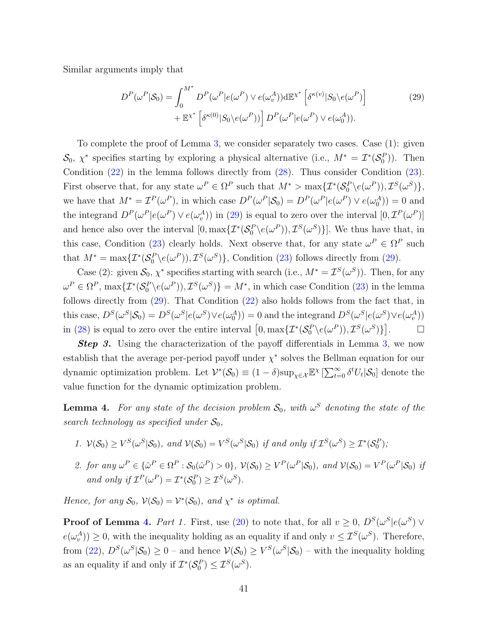Similar arguments imply that

<span id="page-42-0"></span>
$$
D^{P}(\omega^{P}|\mathcal{S}_{0}) = \int_{0}^{M^{*}} D^{P}(\omega^{P}|e(\omega^{P}) \vee e(\omega_{v}^{A}))d\mathbb{E}^{\chi^{*}}\left[\delta^{\kappa(v)}|S_{0}\rangle e(\omega^{P})\right] + \mathbb{E}^{\chi^{*}}\left[\delta^{\kappa(0)}|S_{0}\rangle e(\omega^{P})\right]D^{P}(\omega^{P}|e(\omega^{P}) \vee e(\omega_{0}^{A})).
$$
\n(29)

To complete the proof of Lemma [3,](#page-40-2) we consider separately two cases. Case (1): given  $\mathcal{S}_0, \ \chi^*$  specifies starting by exploring a physical alternative (i.e.,  $M^* = \mathcal{I}^*(\mathcal{S}_0^P)$ ). Then Condition [\(22\)](#page-40-5) in the lemma follows directly from [\(28\)](#page-41-2). Thus consider Condition [\(23\)](#page-40-6). First observe that, for any state  $\omega^P \in \Omega^P$  such that  $M^* > \max{\{\mathcal{I}^*(\mathcal{S}_0^P \backslash e(\omega^P)), \mathcal{I}^S(\omega^S)\}}$ , we have that  $M^* = \mathcal{I}^P(\omega^P)$ , in which case  $D^P(\omega^P|\mathcal{S}_0) = D^P(\omega^P|e(\omega^P) \vee e(\omega_0^A)) = 0$  and the integrand  $D^P(\omega^P | e(\omega^P) \vee e(\omega^A_v))$  in [\(29\)](#page-42-0) is equal to zero over the interval  $[0, \mathcal{I}^P(\omega^P)]$ and hence also over the interval  $[0, \max\{ \mathcal{I}^*(\mathcal{S}_0^P \setminus e(\omega^P)), \mathcal{I}^S(\omega^S) \}]$ . We thus have that, in this case, Condition [\(23\)](#page-40-6) clearly holds. Next observe that, for any state  $\omega^P \in \Omega^P$  such that  $M^* = \max{\{\mathcal{I}^*(\mathcal{S}_0^P \setminus e(\omega^P)), \mathcal{I}^S(\omega^S)\}\,$ , Condition [\(23\)](#page-40-6) follows directly from [\(29\)](#page-42-0).

Case (2): given  $S_0$ ,  $\chi^*$  specifies starting with search (i.e.,  $M^* = \mathcal{I}^S(\omega^S)$ ). Then, for any  $\omega^P \in \Omega^P$ ,  $\max\{ \mathcal{I}^*(\mathcal{S}_0^P \backslash e(\omega^P)), \mathcal{I}^S(\omega^S) \} = M^*$ , in which case Condition [\(23\)](#page-40-6) in the lemma follows directly from [\(29\)](#page-42-0). That Condition [\(22\)](#page-40-5) also holds follows from the fact that, in this case,  $D^S(\omega^S | \mathcal{S}_0) = D^S(\omega^S | e(\omega^S) \vee e(\omega_0^A)) = 0$  and the integrand  $D^S(\omega^S | e(\omega^S) \vee e(\omega_0^A))$ in [\(28\)](#page-41-2) is equal to zero over the entire interval  $\left[0, \max\{ \mathcal{I}^*(\mathcal{S}_0^P \setminus e(\omega^P)), \mathcal{I}^S(\omega^S) \} \right]$  $\Box$ 

**Step 3.** Using the characterization of the payoff differentials in Lemma [3,](#page-40-2) we now establish that the average per-period payoff under  $\chi^*$  solves the Bellman equation for our dynamic optimization problem. Let  $\mathcal{V}^*(\mathcal{S}_0) \equiv (1 - \delta) \sup_{\chi \in \mathcal{X}} \mathbb{E}^\chi \left[ \sum_{t=0}^{\infty} \delta^t U_t | \mathcal{S}_0 \right]$  denote the value function for the dynamic optimization problem.

<span id="page-42-1"></span>**Lemma 4.** For any state of the decision problem  $S_0$ , with  $\omega^S$  denoting the state of the search technology as specified under  $\mathcal{S}_0$ ,

- 1.  $V(S_0) \ge V^S(\omega^S | S_0)$ , and  $V(S_0) = V^S(\omega^S | S_0)$  if and only if  $\mathcal{I}^S(\omega^S) \ge \mathcal{I}^*(S_0^P)$ ;
- 2. for any  $\omega^P \in {\Omega^P : \mathcal{S}_0(\hat{\omega}^P) > 0}$ ,  $\mathcal{V}(\mathcal{S}_0) \geq V^P(\omega^P | \mathcal{S}_0)$ , and  $\mathcal{V}(\mathcal{S}_0) = V^P(\omega^P | \mathcal{S}_0)$  if and only if  $\mathcal{I}^P(\omega^P) = \mathcal{I}^*(\mathcal{S}_0^P) \geq \mathcal{I}^S(\omega^S)$ .

Hence, for any  $S_0$ ,  $V(S_0) = V^*(S_0)$ , and  $\chi^*$  is optimal.

**Proof of Lemma [4.](#page-42-1)** Part 1. First, use [\(20\)](#page-39-3) to note that, for all  $v \geq 0$ ,  $D^{S}(\omega^{S}|e(\omega^{S}) \vee$  $e(\omega_v^A)$   $\geq$  0, with the inequality holding as an equality if and only  $v \leq \mathcal{I}^S(\omega^S)$ . Therefore, from  $(22)$ ,  $D^{S}(\omega^{S}|\mathcal{S}_{0}) \geq 0$  – and hence  $\mathcal{V}(\mathcal{S}_{0}) \geq V^{S}(\omega^{S}|\mathcal{S}_{0})$  – with the inequality holding as an equality if and only if  $\mathcal{I}^*(\mathcal{S}_0^P) \leq \mathcal{I}^S(\omega^S)$ .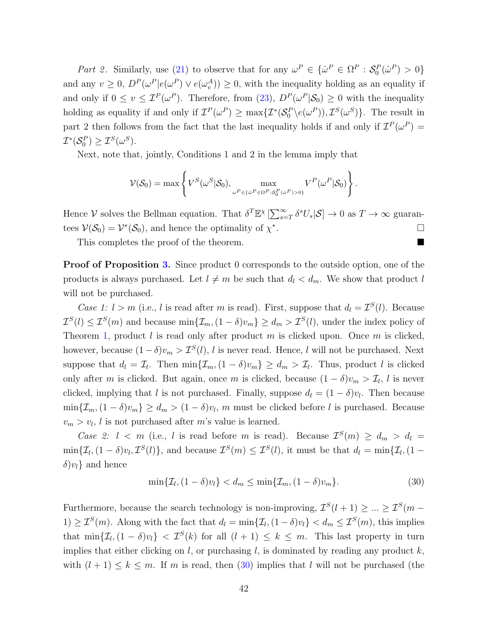Part 2. Similarly, use [\(21\)](#page-39-1) to observe that for any  $\omega^P \in {\{\hat{\omega}^P \in \Omega^P : \mathcal{S}_0^P(\hat{\omega}^P) > 0\}}$ and any  $v \geq 0$ ,  $D^P(\omega^P | e(\omega^P) \vee e(\omega^A_v)) \geq 0$ , with the inequality holding as an equality if and only if  $0 \le v \le \mathcal{I}^P(\omega^P)$ . Therefore, from  $(23)$ ,  $D^P(\omega^P|\mathcal{S}_0) \ge 0$  with the inequality holding as equality if and only if  $\mathcal{I}^P(\omega^P) \ge \max{\{\mathcal{I}^*(\mathcal{S}_0^P \backslash e(\omega^P)), \mathcal{I}^S(\omega^S)\}}$ . The result in part 2 then follows from the fact that the last inequality holds if and only if  $\mathcal{I}^P(\omega^P) =$  $\mathcal{I}^*(\mathcal{S}_0^P) \geq \mathcal{I}^S(\omega^S).$ 

Next, note that, jointly, Conditions 1 and 2 in the lemma imply that

$$
\mathcal{V}(\mathcal{S}_0) = \max \left\{ V^S(\omega^S | \mathcal{S}_0), \max_{\omega^P \in \{\hat{\omega}^P \in \Omega^P : \mathcal{S}_0^P(\hat{\omega}^P) > 0\}} V^P(\omega^P | \mathcal{S}_0) \right\}.
$$

Hence V solves the Bellman equation. That  $\delta^T \mathbb{E}^{\chi} \left[ \sum_{s=T}^{\infty} \delta^s U_s | \mathcal{S} \right] \to 0$  as  $T \to \infty$  guarantees  $V(S_0) = V^*(S_0)$ , and hence the optimality of  $\chi^*$ .

This completes the proof of the theorem.

**Proof of Proposition [3.](#page-28-0)** Since product 0 corresponds to the outside option, one of the products is always purchased. Let  $l \neq m$  be such that  $d_l < d_m$ . We show that product l will not be purchased.

Case 1:  $l > m$  (i.e., l is read after m is read). First, suppose that  $d_l = \mathcal{I}^S(l)$ . Because  $\mathcal{I}^{S}(l) \leq \mathcal{I}^{S}(m)$  and because  $\min\{\mathcal{I}_{m},(1-\delta)v_{m}\} \geq d_{m} > \mathcal{I}^{S}(l)$ , under the index policy of Theorem [1,](#page-13-4) product l is read only after product m is clicked upon. Once m is clicked, however, because  $(1 - \delta)v_m > \mathcal{I}^S(l)$ , l is never read. Hence, l will not be purchased. Next suppose that  $d_l = \mathcal{I}_l$ . Then  $\min\{\mathcal{I}_m, (1 - \delta)v_m\} \ge d_m > \mathcal{I}_l$ . Thus, product l is clicked only after m is clicked. But again, once m is clicked, because  $(1 - \delta)v_m > \mathcal{I}_l$ , l is never clicked, implying that l is not purchased. Finally, suppose  $d_l = (1 - \delta)v_l$ . Then because  $\min\{\mathcal{I}_m,(1-\delta)v_m\}\geq d_m>(1-\delta)v_l, m$  must be clicked before l is purchased. Because  $v_m > v_l$ , l is not purchased after m's value is learned.

Case 2:  $l < m$  (i.e., l is read before m is read). Because  $\mathcal{I}^S(m) \geq d_m > d_l =$  $\min\{\mathcal{I}_l,(1-\delta)v_l,\mathcal{I}^S(l)\}\text{, and because }\mathcal{I}^S(m)\leq \mathcal{I}^S(l)\text{, it must be that }d_l=\min\{\mathcal{I}_l,(1-\delta)v_l,\mathcal{I}^S(l)\}\text{, and }d_l>1$  $\delta$ ) $v_l$ } and hence

<span id="page-43-0"></span>
$$
\min\{\mathcal{I}_l,(1-\delta)v_l\}< d_m\leq \min\{\mathcal{I}_m,(1-\delta)v_m\}.\tag{30}
$$

Furthermore, because the search technology is non-improving,  $\mathcal{I}^S(l+1) \geq ... \geq \mathcal{I}^S(m-1)$ 1)  $\geq \mathcal{I}^S(m)$ . Along with the fact that  $d_l = \min\{\mathcal{I}_l, (1 - \delta)v_l\} < d_m \leq \mathcal{I}^S(m)$ , this implies that  $\min\{\mathcal{I}_l,(1-\delta)v_l\} < \mathcal{I}^S(k)$  for all  $(l+1) \leq k \leq m$ . This last property in turn implies that either clicking on  $l$ , or purchasing  $l$ , is dominated by reading any product  $k$ , with  $(l + 1) \leq k \leq m$ . If m is read, then [\(30\)](#page-43-0) implies that l will not be purchased (the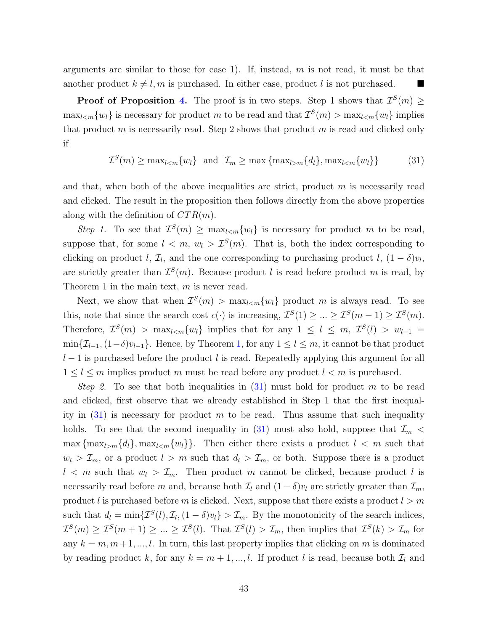arguments are similar to those for case 1). If, instead,  $m$  is not read, it must be that another product  $k \neq l, m$  is purchased. In either case, product l is not purchased.

**Proof of Proposition [4.](#page-29-3)** The proof is in two steps. Step 1 shows that  $\mathcal{I}^S(m) \geq$  $\max_{l \leq m} \{w_l\}$  is necessary for product m to be read and that  $\mathcal{I}^S(m) > \max_{l \leq m} \{w_l\}$  implies that product m is necessarily read. Step 2 shows that product m is read and clicked only if

<span id="page-44-0"></span> $\mathcal{I}^{S}(m) \geq \max_{l < m} \{w_l\}$  and  $\mathcal{I}_m \geq \max\left\{\max_{l > m} \{d_l\}, \max_{l < m} \{w_l\}\right\}$  (31)

and that, when both of the above inequalities are strict, product  $m$  is necessarily read and clicked. The result in the proposition then follows directly from the above properties along with the definition of  $CTR(m)$ .

Step 1. To see that  $\mathcal{I}^S(m) \geq \max_{l \leq m} \{w_l\}$  is necessary for product m to be read, suppose that, for some  $l < m$ ,  $w_l > \mathcal{I}^S(m)$ . That is, both the index corresponding to clicking on product l,  $\mathcal{I}_l$ , and the one corresponding to purchasing product l,  $(1 - \delta)v_l$ , are strictly greater than  $\mathcal{I}^S(m)$ . Because product l is read before product m is read, by Theorem 1 in the main text,  $m$  is never read.

Next, we show that when  $\mathcal{I}^S(m) > \max_{l \leq m} \{w_l\}$  product m is always read. To see this, note that since the search cost  $c(\cdot)$  is increasing,  $\mathcal{I}^S(1) \geq ... \geq \mathcal{I}^S(m-1) \geq \mathcal{I}^S(m)$ . Therefore,  $\mathcal{I}^S(m) > \max_{l \leq m} \{w_l\}$  implies that for any  $1 \leq l \leq m$ ,  $\mathcal{I}^S(l) > w_{l-1}$  $\min\{\mathcal{I}_{l-1},(1-\delta)v_{l-1}\}.$  Hence, by Theorem [1,](#page-13-4) for any  $1 \leq l \leq m$ , it cannot be that product  $l-1$  is purchased before the product l is read. Repeatedly applying this argument for all  $1 \leq l \leq m$  implies product m must be read before any product  $l < m$  is purchased.

*Step 2.* To see that both inequalities in  $(31)$  must hold for product m to be read and clicked, first observe that we already established in Step 1 that the first inequality in  $(31)$  is necessary for product m to be read. Thus assume that such inequality holds. To see that the second inequality in [\(31\)](#page-44-0) must also hold, suppose that  $\mathcal{I}_m$  <  $\max\{\max_{l>m}{d_l}\}, \max_{l\leq m}{w_l}\}.$  Then either there exists a product  $l \leq m$  such that  $w_l > \mathcal{I}_m$ , or a product  $l > m$  such that  $d_l > \mathcal{I}_m$ , or both. Suppose there is a product  $l < m$  such that  $w_l > \mathcal{I}_m$ . Then product m cannot be clicked, because product l is necessarily read before m and, because both  $\mathcal{I}_l$  and  $(1 - \delta)v_l$  are strictly greater than  $\mathcal{I}_m$ , product l is purchased before m is clicked. Next, suppose that there exists a product  $l > m$ such that  $d_l = \min\{\mathcal{I}^S(l), \mathcal{I}_l, (1 - \delta)v_l\} > \mathcal{I}_m$ . By the monotonicity of the search indices,  $\mathcal{I}^S(m) \geq \mathcal{I}^S(m+1) \geq \ldots \geq \mathcal{I}^S(l)$ . That  $\mathcal{I}^S(l) > \mathcal{I}_m$ , then implies that  $\mathcal{I}^S(k) > \mathcal{I}_m$  for any  $k = m, m+1, ..., l$ . In turn, this last property implies that clicking on m is dominated by reading product k, for any  $k = m + 1, ..., l$ . If product l is read, because both  $\mathcal{I}_l$  and